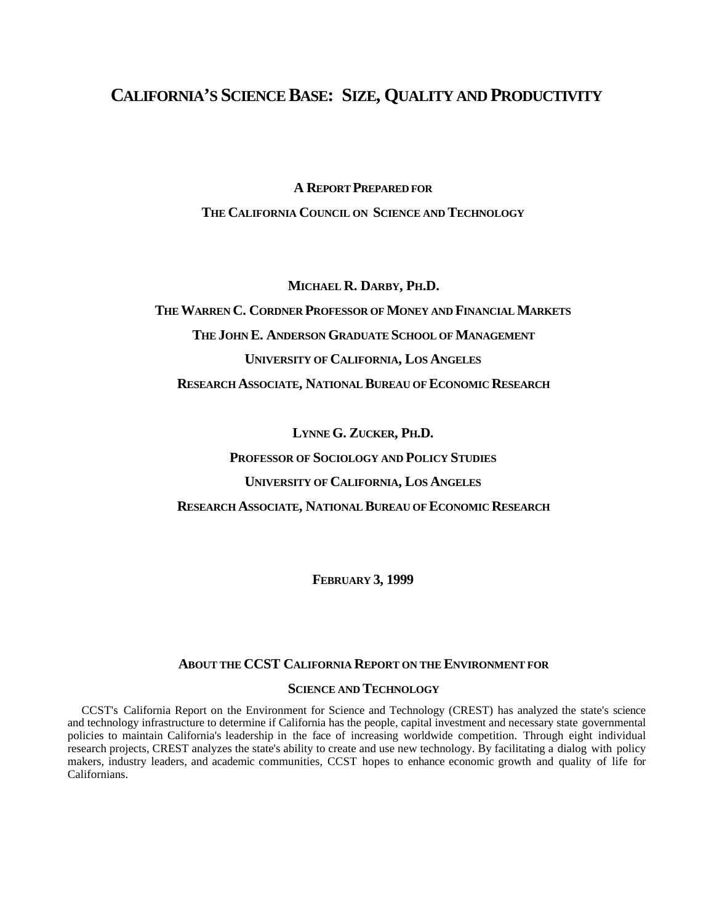# **CALIFORNIA'S SCIENCE BASE: SIZE, QUALITY AND PRODUCTIVITY**

**A REPORT PREPARED FOR**

**THE CALIFORNIA COUNCIL ON SCIENCE AND TECHNOLOGY**

**MICHAEL R. DARBY, PH.D.**

**THE WARREN C. CORDNER PROFESSOR OF MONEY AND FINANCIAL MARKETS THE JOHN E. ANDERSON GRADUATE SCHOOL OF MANAGEMENT UNIVERSITY OF CALIFORNIA, LOS ANGELES RESEARCH ASSOCIATE, NATIONAL BUREAU OF ECONOMIC RESEARCH**

**LYNNE G. ZUCKER, PH.D.**

**PROFESSOR OF SOCIOLOGY AND POLICY STUDIES UNIVERSITY OF CALIFORNIA, LOS ANGELES**

**RESEARCH ASSOCIATE, NATIONAL BUREAU OF ECONOMIC RESEARCH**

**FEBRUARY 3, 1999**

# **ABOUT THE CCST CALIFORNIA REPORT ON THE ENVIRONMENT FOR**

#### **SCIENCE AND TECHNOLOGY**

CCST's California Report on the Environment for Science and Technology (CREST) has analyzed the state's science and technology infrastructure to determine if California has the people, capital investment and necessary state governmental policies to maintain California's leadership in the face of increasing worldwide competition. Through eight individual research projects, CREST analyzes the state's ability to create and use new technology. By facilitating a dialog with policy makers, industry leaders, and academic communities, CCST hopes to enhance economic growth and quality of life for Californians.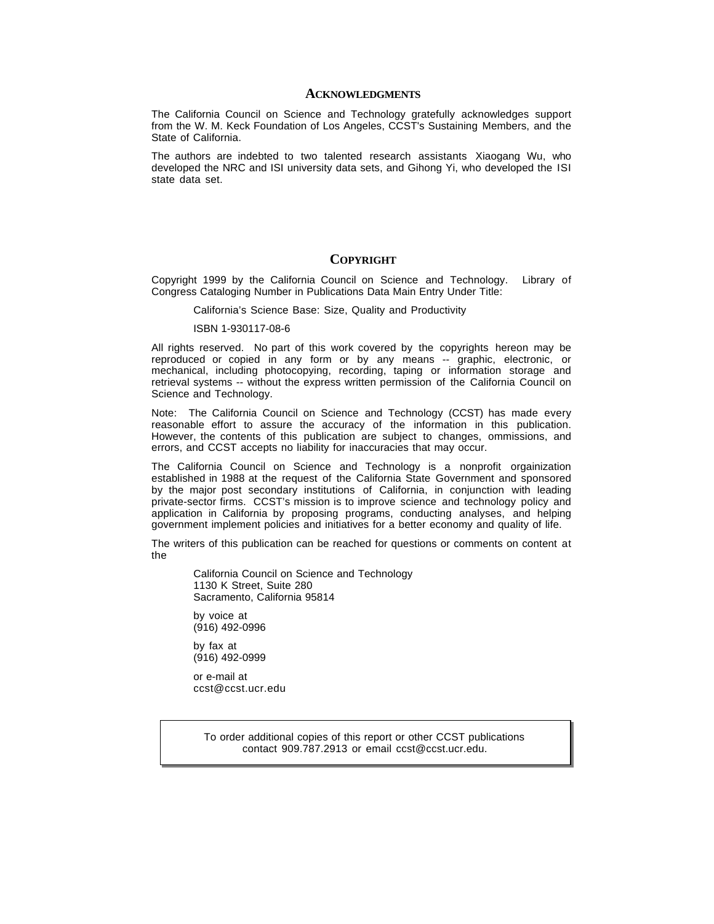#### **ACKNOWLEDGMENTS**

The California Council on Science and Technology gratefully acknowledges support from the W. M. Keck Foundation of Los Angeles, CCST's Sustaining Members, and the State of California.

The authors are indebted to two talented research assistants Xiaogang Wu, who developed the NRC and ISI university data sets, and Gihong Yi, who developed the ISI state data set.

#### **COPYRIGHT**

Copyright 1999 by the California Council on Science and Technology. Library of Congress Cataloging Number in Publications Data Main Entry Under Title:

California's Science Base: Size, Quality and Productivity

ISBN 1-930117-08-6

All rights reserved. No part of this work covered by the copyrights hereon may be reproduced or copied in any form or by any means -- graphic, electronic, or mechanical, including photocopying, recording, taping or information storage and retrieval systems -- without the express written permission of the California Council on Science and Technology.

Note: The California Council on Science and Technology (CCST) has made every reasonable effort to assure the accuracy of the information in this publication. However, the contents of this publication are subject to changes, ommissions, and errors, and CCST accepts no liability for inaccuracies that may occur.

The California Council on Science and Technology is a nonprofit orgainization established in 1988 at the request of the California State Government and sponsored by the major post secondary institutions of California, in conjunction with leading private-sector firms. CCST's mission is to improve science and technology policy and application in California by proposing programs, conducting analyses, and helping government implement policies and initiatives for a better economy and quality of life.

The writers of this publication can be reached for questions or comments on content at the

> California Council on Science and Technology 1130 K Street, Suite 280 Sacramento, California 95814

by voice at (916) 492-0996

by fax at (916) 492-0999

or e-mail at ccst@ccst.ucr.edu

> To order additional copies of this report or other CCST publications contact 909.787.2913 or email ccst@ccst.ucr.edu.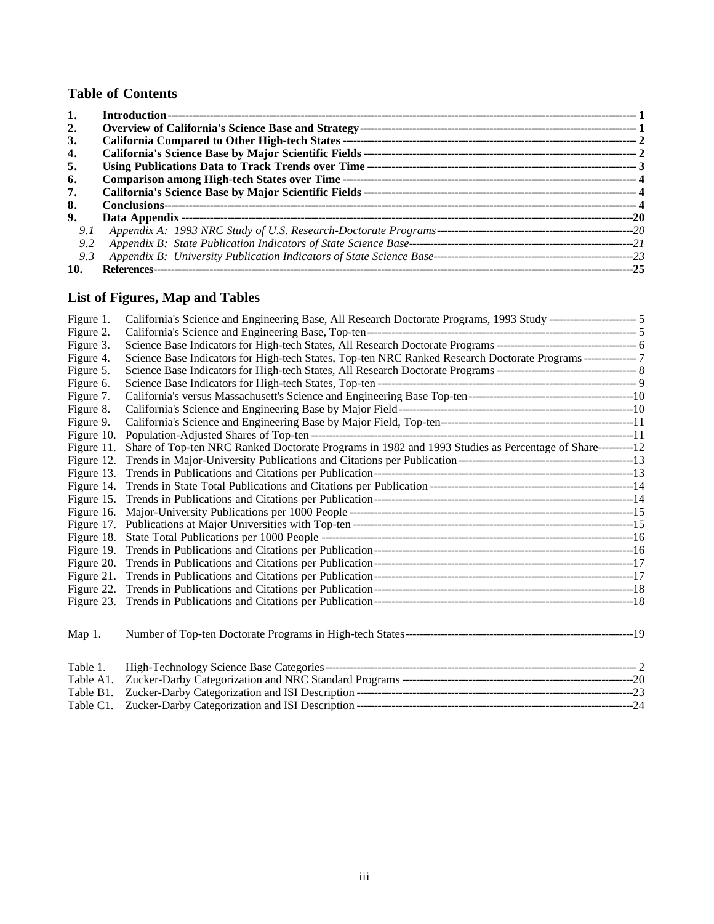# **Table of Contents**

| 2.  |                                                                  |      |  |
|-----|------------------------------------------------------------------|------|--|
| 3.  |                                                                  |      |  |
| 4.  |                                                                  |      |  |
| 5.  |                                                                  |      |  |
| 6.  |                                                                  |      |  |
| 7.  |                                                                  |      |  |
| 8.  |                                                                  |      |  |
| 9.  |                                                                  | --20 |  |
| 9.1 |                                                                  |      |  |
| 9.2 | Appendix B: State Publication Indicators of State Science Base-- |      |  |
| 9.3 |                                                                  |      |  |
| 10. | References----------------------                                 |      |  |

# **List of Figures, Map and Tables**

| Figure 1.  |                                                                                                               |  |
|------------|---------------------------------------------------------------------------------------------------------------|--|
| Figure 2.  |                                                                                                               |  |
| Figure 3.  |                                                                                                               |  |
| Figure 4.  | Science Base Indicators for High-tech States, Top-ten NRC Ranked Research Doctorate Programs ---------------7 |  |
| Figure 5.  |                                                                                                               |  |
| Figure 6.  |                                                                                                               |  |
| Figure 7.  |                                                                                                               |  |
| Figure 8.  |                                                                                                               |  |
| Figure 9.  |                                                                                                               |  |
| Figure 10. |                                                                                                               |  |
| Figure 11. | Share of Top-ten NRC Ranked Doctorate Programs in 1982 and 1993 Studies as Percentage of Share----------12    |  |
| Figure 12. |                                                                                                               |  |
| Figure 13. |                                                                                                               |  |
| Figure 14. |                                                                                                               |  |
|            |                                                                                                               |  |
| Figure 16. |                                                                                                               |  |
|            |                                                                                                               |  |
| Figure 18. |                                                                                                               |  |
| Figure 19. |                                                                                                               |  |
|            |                                                                                                               |  |
|            |                                                                                                               |  |
|            |                                                                                                               |  |
|            |                                                                                                               |  |
| Map $1$ .  |                                                                                                               |  |
| Table 1.   |                                                                                                               |  |
| Table A1.  |                                                                                                               |  |
| Table B1.  |                                                                                                               |  |
| Table C1.  |                                                                                                               |  |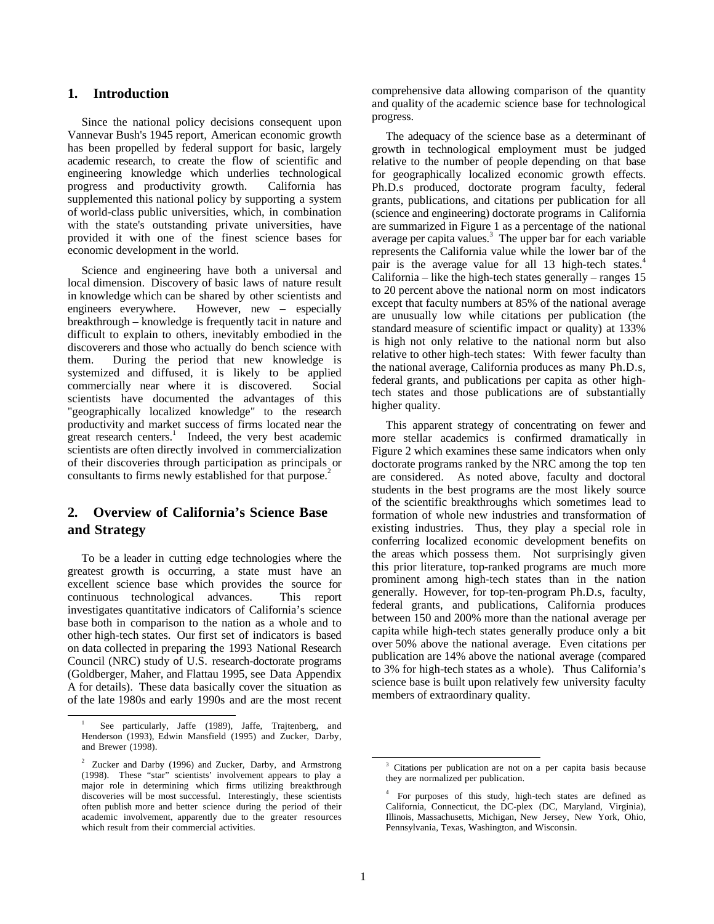# **1. Introduction**

Since the national policy decisions consequent upon Vannevar Bush's 1945 report, American economic growth has been propelled by federal support for basic, largely academic research, to create the flow of scientific and engineering knowledge which underlies technological progress and productivity growth. California has supplemented this national policy by supporting a system of world-class public universities, which, in combination with the state's outstanding private universities, have provided it with one of the finest science bases for economic development in the world.

Science and engineering have both a universal and local dimension. Discovery of basic laws of nature result in knowledge which can be shared by other scientists and engineers everywhere. However, new – especially breakthrough – knowledge is frequently tacit in nature and difficult to explain to others, inevitably embodied in the discoverers and those who actually do bench science with them. During the period that new knowledge is systemized and diffused, it is likely to be applied commercially near where it is discovered. Social scientists have documented the advantages of this "geographically localized knowledge" to the research productivity and market success of firms located near the great research centers.<sup>1</sup> Indeed, the very best academic scientists are often directly involved in commercialization of their discoveries through participation as principals or consultants to firms newly established for that purpose.<sup>2</sup>

# **2. Overview of California's Science Base and Strategy**

To be a leader in cutting edge technologies where the greatest growth is occurring, a state must have an excellent science base which provides the source for continuous technological advances. This report investigates quantitative indicators of California's science base both in comparison to the nation as a whole and to other high-tech states. Our first set of indicators is based on data collected in preparing the 1993 National Research Council (NRC) study of U.S. research-doctorate programs (Goldberger, Maher, and Flattau 1995, see Data Appendix A for details). These data basically cover the situation as of the late 1980s and early 1990s and are the most recent comprehensive data allowing comparison of the quantity and quality of the academic science base for technological progress.

The adequacy of the science base as a determinant of growth in technological employment must be judged relative to the number of people depending on that base for geographically localized economic growth effects. Ph.D.s produced, doctorate program faculty, federal grants, publications, and citations per publication for all (science and engineering) doctorate programs in California are summarized in Figure 1 as a percentage of the national average per capita values. $3$  The upper bar for each variable represents the California value while the lower bar of the pair is the average value for all 13 high-tech states.<sup>4</sup> California – like the high-tech states generally – ranges  $15$ to 20 percent above the national norm on most indicators except that faculty numbers at 85% of the national average are unusually low while citations per publication (the standard measure of scientific impact or quality) at 133% is high not only relative to the national norm but also relative to other high-tech states: With fewer faculty than the national average, California produces as many Ph.D.s, federal grants, and publications per capita as other hightech states and those publications are of substantially higher quality.

This apparent strategy of concentrating on fewer and more stellar academics is confirmed dramatically in Figure 2 which examines these same indicators when only doctorate programs ranked by the NRC among the top ten are considered. As noted above, faculty and doctoral students in the best programs are the most likely source of the scientific breakthroughs which sometimes lead to formation of whole new industries and transformation of existing industries. Thus, they play a special role in conferring localized economic development benefits on the areas which possess them. Not surprisingly given this prior literature, top-ranked programs are much more prominent among high-tech states than in the nation generally. However, for top-ten-program Ph.D.s, faculty, federal grants, and publications, California produces between 150 and 200% more than the national average per capita while high-tech states generally produce only a bit over 50% above the national average. Even citations per publication are 14% above the national average (compared to 3% for high-tech states as a whole). Thus California's science base is built upon relatively few university faculty members of extraordinary quality.

See particularly, Jaffe (1989), Jaffe, Trajtenberg, and Henderson (1993), Edwin Mansfield (1995) and Zucker, Darby, and Brewer (1998).

<sup>&</sup>lt;sup>2</sup> Zucker and Darby (1996) and Zucker, Darby, and Armstrong (1998). These "star" scientists' involvement appears to play a major role in determining which firms utilizing breakthrough discoveries will be most successful. Interestingly, these scientists often publish more and better science during the period of their academic involvement, apparently due to the greater resources which result from their commercial activities.

<sup>&</sup>lt;sup>3</sup> Citations per publication are not on a per capita basis because they are normalized per publication.

<sup>&</sup>lt;sup>4</sup> For purposes of this study, high-tech states are defined as California, Connecticut, the DC-plex (DC, Maryland, Virginia), Illinois, Massachusetts, Michigan, New Jersey, New York, Ohio, Pennsylvania, Texas, Washington, and Wisconsin.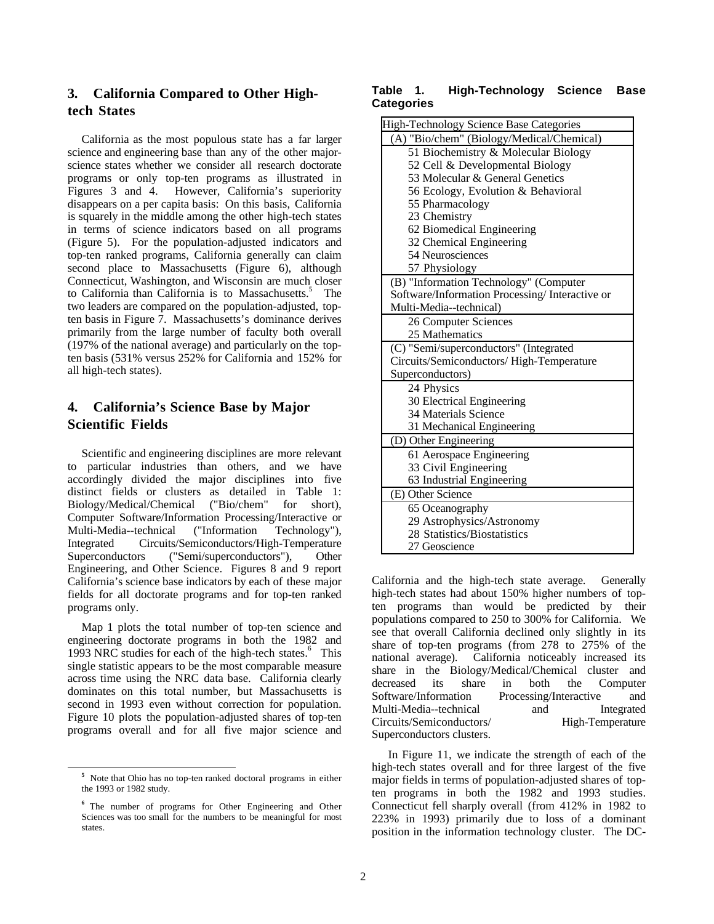# **3. California Compared to Other Hightech States**

California as the most populous state has a far larger science and engineering base than any of the other majorscience states whether we consider all research doctorate programs or only top-ten programs as illustrated in Figures 3 and 4. However, California's superiority disappears on a per capita basis: On this basis, California is squarely in the middle among the other high-tech states in terms of science indicators based on all programs (Figure 5). For the population-adjusted indicators and top-ten ranked programs, California generally can claim second place to Massachusetts (Figure 6), although Connecticut, Washington, and Wisconsin are much closer to California than California is to Massachusetts.<sup>5</sup> The two leaders are compared on the population-adjusted, topten basis in Figure 7. Massachusetts's dominance derives primarily from the large number of faculty both overall (197% of the national average) and particularly on the topten basis (531% versus 252% for California and 152% for all high-tech states).

# **4. California's Science Base by Major Scientific Fields**

Scientific and engineering disciplines are more relevant to particular industries than others, and we have accordingly divided the major disciplines into five distinct fields or clusters as detailed in Table 1: Biology/Medical/Chemical ("Bio/chem" for short), Computer Software/Information Processing/Interactive or Multi-Media--technical ("Information Technology"), Integrated Circuits/Semiconductors/High-Temperature Superconductors ("Semi/superconductors"), Other Engineering, and Other Science. Figures 8 and 9 report California's science base indicators by each of these major fields for all doctorate programs and for top-ten ranked programs only.

Map 1 plots the total number of top-ten science and engineering doctorate programs in both the 1982 and 1993 NRC studies for each of the high-tech states.<sup>6</sup> This single statistic appears to be the most comparable measure across time using the NRC data base. California clearly dominates on this total number, but Massachusetts is second in 1993 even without correction for population. Figure 10 plots the population-adjusted shares of top-ten programs overall and for all five major science and

## **Table 1. High-Technology Science Base Categories**

| High-Technology Science Base Categories         |  |  |
|-------------------------------------------------|--|--|
| (A) "Bio/chem" (Biology/Medical/Chemical)       |  |  |
| 51 Biochemistry & Molecular Biology             |  |  |
| 52 Cell & Developmental Biology                 |  |  |
| 53 Molecular & General Genetics                 |  |  |
| 56 Ecology, Evolution & Behavioral              |  |  |
| 55 Pharmacology                                 |  |  |
| 23 Chemistry                                    |  |  |
| 62 Biomedical Engineering                       |  |  |
| 32 Chemical Engineering                         |  |  |
| 54 Neurosciences                                |  |  |
| 57 Physiology                                   |  |  |
| (B) "Information Technology" (Computer          |  |  |
| Software/Information Processing/ Interactive or |  |  |
| Multi-Media--technical)                         |  |  |
| 26 Computer Sciences                            |  |  |
| 25 Mathematics                                  |  |  |
| (C) "Semi/superconductors" (Integrated          |  |  |
| Circuits/Semiconductors/High-Temperature        |  |  |
| Superconductors)                                |  |  |
| 24 Physics                                      |  |  |
| 30 Electrical Engineering                       |  |  |
| 34 Materials Science                            |  |  |
| 31 Mechanical Engineering                       |  |  |
| (D) Other Engineering                           |  |  |
| 61 Aerospace Engineering                        |  |  |
| 33 Civil Engineering                            |  |  |
| 63 Industrial Engineering                       |  |  |
| (E) Other Science                               |  |  |
| 65 Oceanography                                 |  |  |
| 29 Astrophysics/Astronomy                       |  |  |
| 28 Statistics/Biostatistics                     |  |  |
| 27 Geoscience                                   |  |  |

California and the high-tech state average. Generally high-tech states had about 150% higher numbers of topten programs than would be predicted by their populations compared to 250 to 300% for California. We see that overall California declined only slightly in its share of top-ten programs (from 278 to 275% of the national average). California noticeably increased its share in the Biology/Medical/Chemical cluster and decreased its share in both the Computer Software/Information Processing/Interactive and Multi-Media--technical and Integrated Circuits/Semiconductors/ High-Temperature Superconductors clusters.

In Figure 11, we indicate the strength of each of the high-tech states overall and for three largest of the five major fields in terms of population-adjusted shares of topten programs in both the 1982 and 1993 studies. Connecticut fell sharply overall (from 412% in 1982 to 223% in 1993) primarily due to loss of a dominant position in the information technology cluster. The DC-

<sup>&</sup>lt;sup>5</sup> Note that Ohio has no top-ten ranked doctoral programs in either the 1993 or 1982 study.

<sup>&</sup>lt;sup>6</sup> The number of programs for Other Engineering and Other Sciences was too small for the numbers to be meaningful for most states.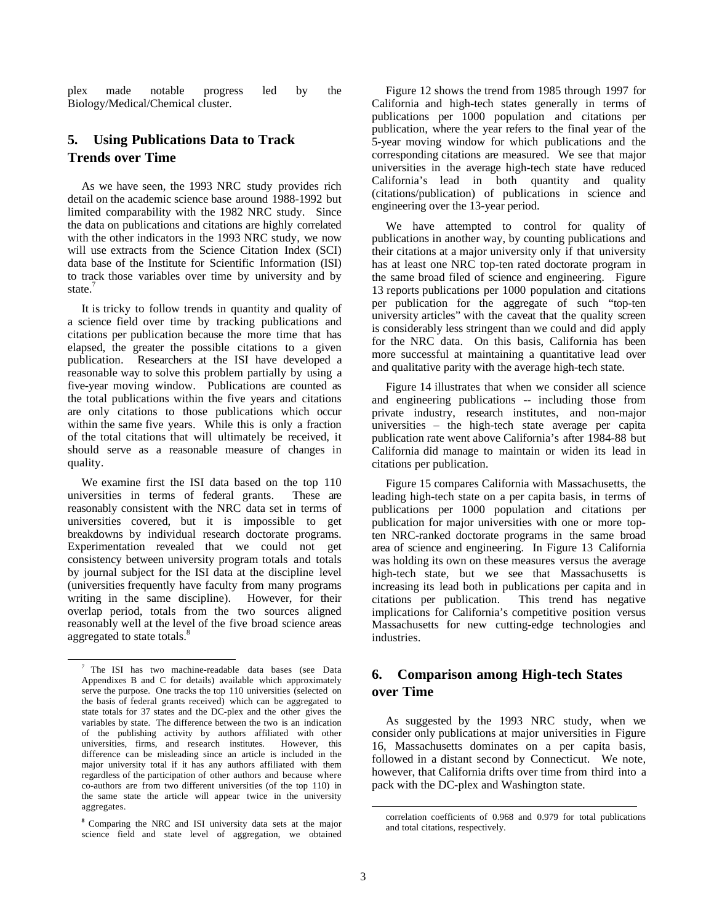plex made notable progress led by the Biology/Medical/Chemical cluster.

# **5. Using Publications Data to Track Trends over Time**

As we have seen, the 1993 NRC study provides rich detail on the academic science base around 1988-1992 but limited comparability with the 1982 NRC study. Since the data on publications and citations are highly correlated with the other indicators in the 1993 NRC study, we now will use extracts from the Science Citation Index (SCI) data base of the Institute for Scientific Information (ISI) to track those variables over time by university and by state.<sup>7</sup>

It is tricky to follow trends in quantity and quality of a science field over time by tracking publications and citations per publication because the more time that has elapsed, the greater the possible citations to a given publication. Researchers at the ISI have developed a reasonable way to solve this problem partially by using a five-year moving window. Publications are counted as the total publications within the five years and citations are only citations to those publications which occur within the same five years. While this is only a fraction of the total citations that will ultimately be received, it should serve as a reasonable measure of changes in quality.

We examine first the ISI data based on the top 110 universities in terms of federal grants. These are reasonably consistent with the NRC data set in terms of universities covered, but it is impossible to get breakdowns by individual research doctorate programs. Experimentation revealed that we could not get consistency between university program totals and totals by journal subject for the ISI data at the discipline level (universities frequently have faculty from many programs writing in the same discipline). However, for their overlap period, totals from the two sources aligned reasonably well at the level of the five broad science areas aggregated to state totals.<sup>8</sup>

Figure 12 shows the trend from 1985 through 1997 for California and high-tech states generally in terms of publications per 1000 population and citations per publication, where the year refers to the final year of the 5-year moving window for which publications and the corresponding citations are measured. We see that major universities in the average high-tech state have reduced California's lead in both quantity and quality (citations/publication) of publications in science and engineering over the 13-year period.

We have attempted to control for quality of publications in another way, by counting publications and their citations at a major university only if that university has at least one NRC top-ten rated doctorate program in the same broad filed of science and engineering. Figure 13 reports publications per 1000 population and citations per publication for the aggregate of such "top-ten university articles" with the caveat that the quality screen is considerably less stringent than we could and did apply for the NRC data. On this basis, California has been more successful at maintaining a quantitative lead over and qualitative parity with the average high-tech state.

Figure 14 illustrates that when we consider all science and engineering publications -- including those from private industry, research institutes, and non-major universities – the high-tech state average per capita publication rate went above California's after 1984-88 but California did manage to maintain or widen its lead in citations per publication.

Figure 15 compares California with Massachusetts, the leading high-tech state on a per capita basis, in terms of publications per 1000 population and citations per publication for major universities with one or more topten NRC-ranked doctorate programs in the same broad area of science and engineering. In Figure 13 California was holding its own on these measures versus the average high-tech state, but we see that Massachusetts is increasing its lead both in publications per capita and in citations per publication. This trend has negative citations per publication. implications for California's competitive position versus Massachusetts for new cutting-edge technologies and industries.

# **6. Comparison among High-tech States over Time**

As suggested by the 1993 NRC study, when we consider only publications at major universities in Figure 16, Massachusetts dominates on a per capita basis, followed in a distant second by Connecticut. We note, however, that California drifts over time from third into a pack with the DC-plex and Washington state.

 $\frac{1}{7}$  $7$  The ISI has two machine-readable data bases (see Data Appendixes B and C for details) available which approximately serve the purpose. One tracks the top 110 universities (selected on the basis of federal grants received) which can be aggregated to state totals for 37 states and the DC-plex and the other gives the variables by state. The difference between the two is an indication of the publishing activity by authors affiliated with other universities, firms, and research institutes. However, this difference can be misleading since an article is included in the major university total if it has any authors affiliated with them regardless of the participation of other authors and because where co-authors are from two different universities (of the top 110) in the same state the article will appear twice in the university aggregates.

**<sup>8</sup>** Comparing the NRC and ISI university data sets at the major science field and state level of aggregation, we obtained

correlation coefficients of 0.968 and 0.979 for total publications and total citations, respectively.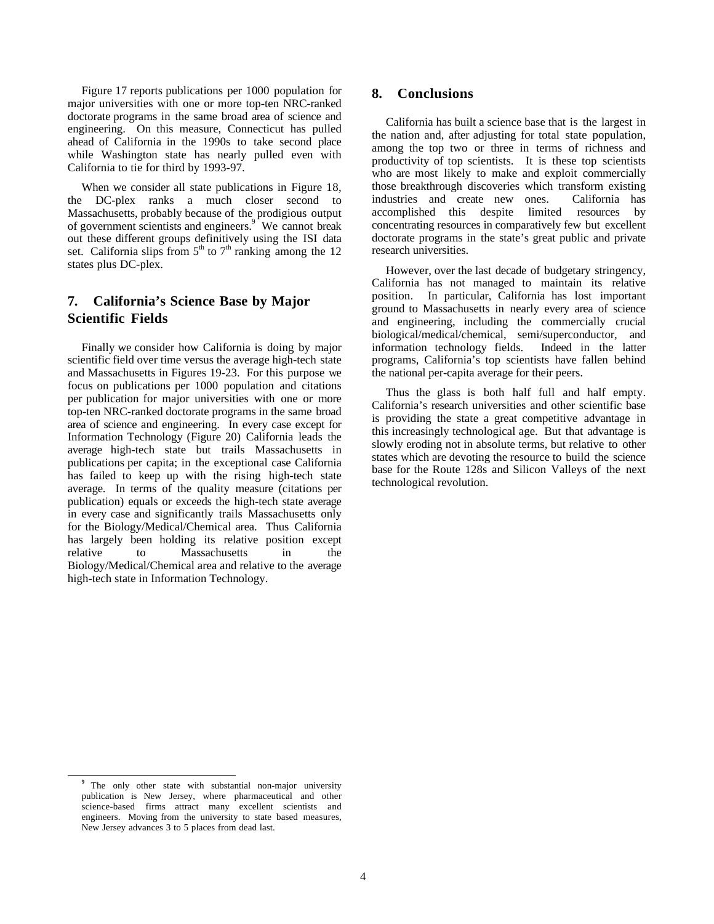Figure 17 reports publications per 1000 population for major universities with one or more top-ten NRC-ranked doctorate programs in the same broad area of science and engineering. On this measure, Connecticut has pulled ahead of California in the 1990s to take second place while Washington state has nearly pulled even with California to tie for third by 1993-97.

When we consider all state publications in Figure 18, the DC-plex ranks a much closer second to Massachusetts, probably because of the prodigious output of government scientists and engineers.<sup>9</sup> We cannot break out these different groups definitively using the ISI data set. California slips from  $5<sup>th</sup>$  to  $7<sup>th</sup>$  ranking among the 12 states plus DC-plex.

# **7. California's Science Base by Major Scientific Fields**

Finally we consider how California is doing by major scientific field over time versus the average high-tech state and Massachusetts in Figures 19-23. For this purpose we focus on publications per 1000 population and citations per publication for major universities with one or more top-ten NRC-ranked doctorate programs in the same broad area of science and engineering. In every case except for Information Technology (Figure 20) California leads the average high-tech state but trails Massachusetts in publications per capita; in the exceptional case California has failed to keep up with the rising high-tech state average. In terms of the quality measure (citations per publication) equals or exceeds the high-tech state average in every case and significantly trails Massachusetts only for the Biology/Medical/Chemical area. Thus California has largely been holding its relative position except relative to Massachusetts in the Biology/Medical/Chemical area and relative to the average high-tech state in Information Technology.

# **8. Conclusions**

California has built a science base that is the largest in the nation and, after adjusting for total state population, among the top two or three in terms of richness and productivity of top scientists. It is these top scientists who are most likely to make and exploit commercially those breakthrough discoveries which transform existing industries and create new ones. California has accomplished this despite limited resources by concentrating resources in comparatively few but excellent doctorate programs in the state's great public and private research universities.

However, over the last decade of budgetary stringency, California has not managed to maintain its relative position. In particular, California has lost important ground to Massachusetts in nearly every area of science and engineering, including the commercially crucial biological/medical/chemical, semi/superconductor, and information technology fields. Indeed in the latter information technology fields. programs, California's top scientists have fallen behind the national per-capita average for their peers.

Thus the glass is both half full and half empty. California's research universities and other scientific base is providing the state a great competitive advantage in this increasingly technological age. But that advantage is slowly eroding not in absolute terms, but relative to other states which are devoting the resource to build the science base for the Route 128s and Silicon Valleys of the next technological revolution.

**<sup>9</sup>** The only other state with substantial non-major university publication is New Jersey, where pharmaceutical and other science-based firms attract many excellent scientists and engineers. Moving from the university to state based measures, New Jersey advances 3 to 5 places from dead last.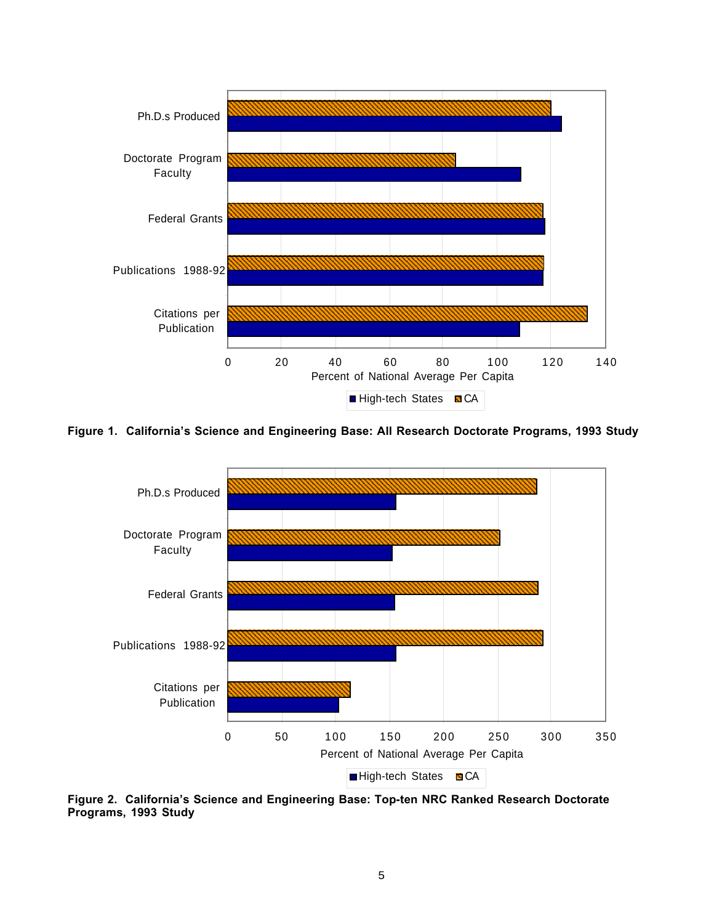

**Figure 1. California's Science and Engineering Base: All Research Doctorate Programs, 1993 Study**



**Figure 2. California's Science and Engineering Base: Top-ten NRC Ranked Research Doctorate Programs, 1993 Study**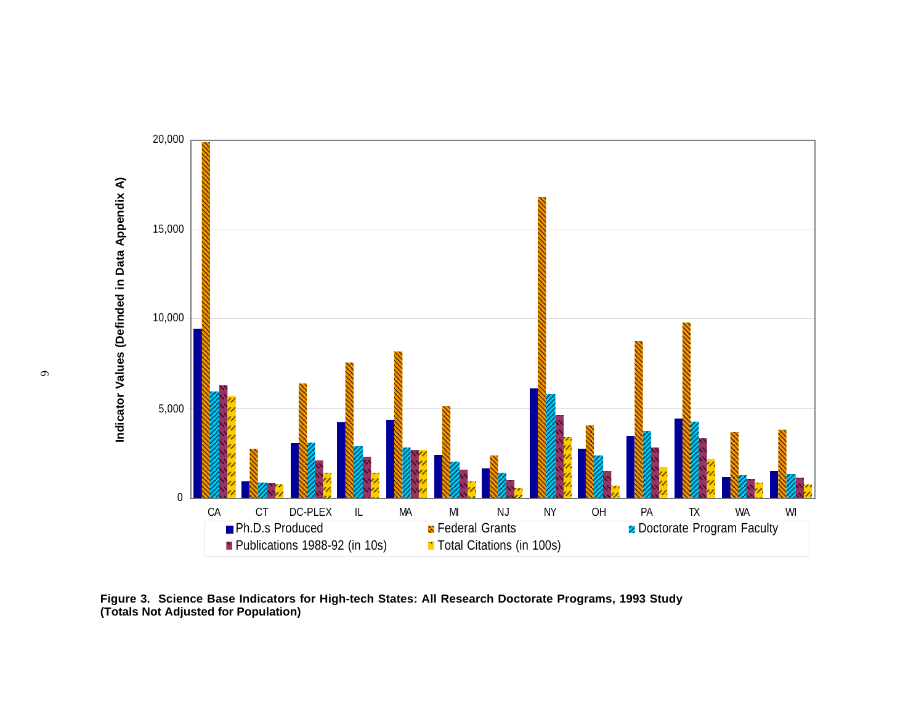

**Figure 3. Science Base Indicators for High-tech States: All Research Doctorate Programs, 1993 Study (Totals Not Adjusted for Population)**

6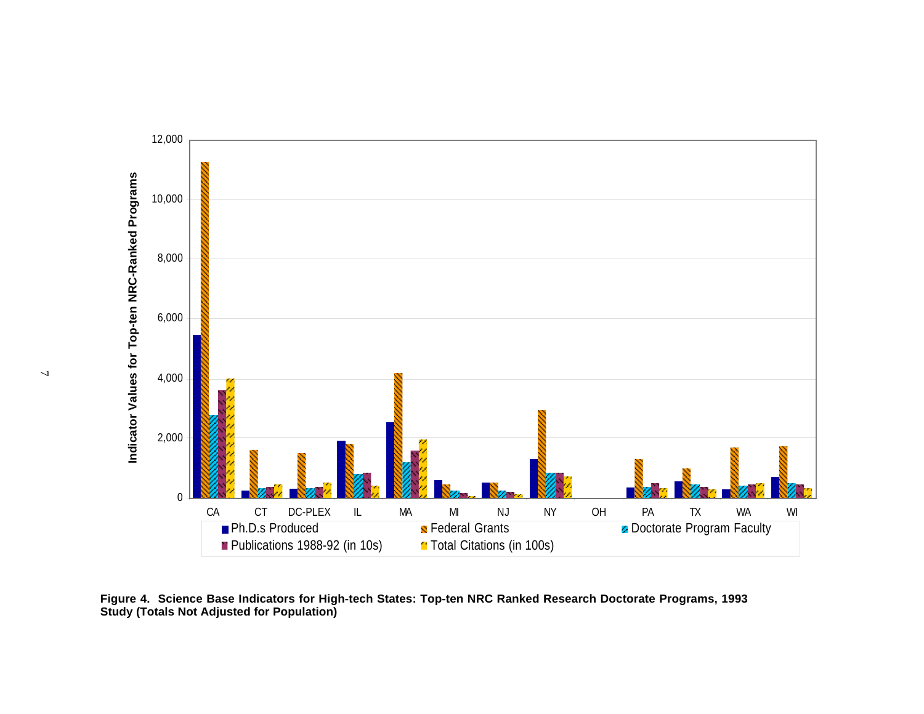

**Figure 4. Science Base Indicators for High-tech States: Top-ten NRC Ranked Research Doctorate Programs, 1993 Study (Totals Not Adjusted for Population)**

 $\overline{\phantom{a}}$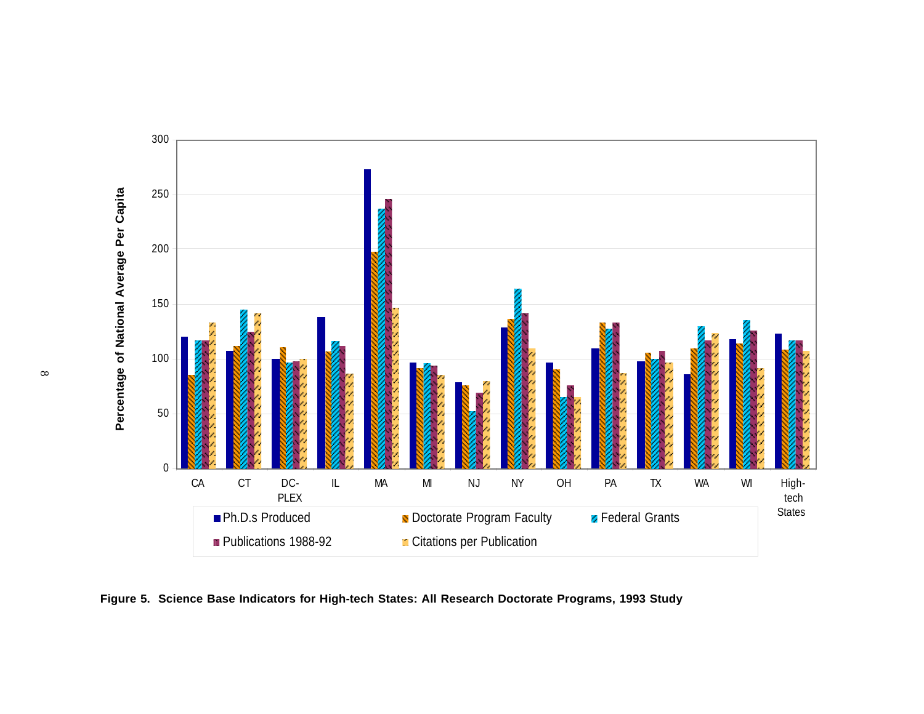

**Figure 5. Science Base Indicators for High-tech States: All Research Doctorate Programs, 1993 Study**

 $\infty$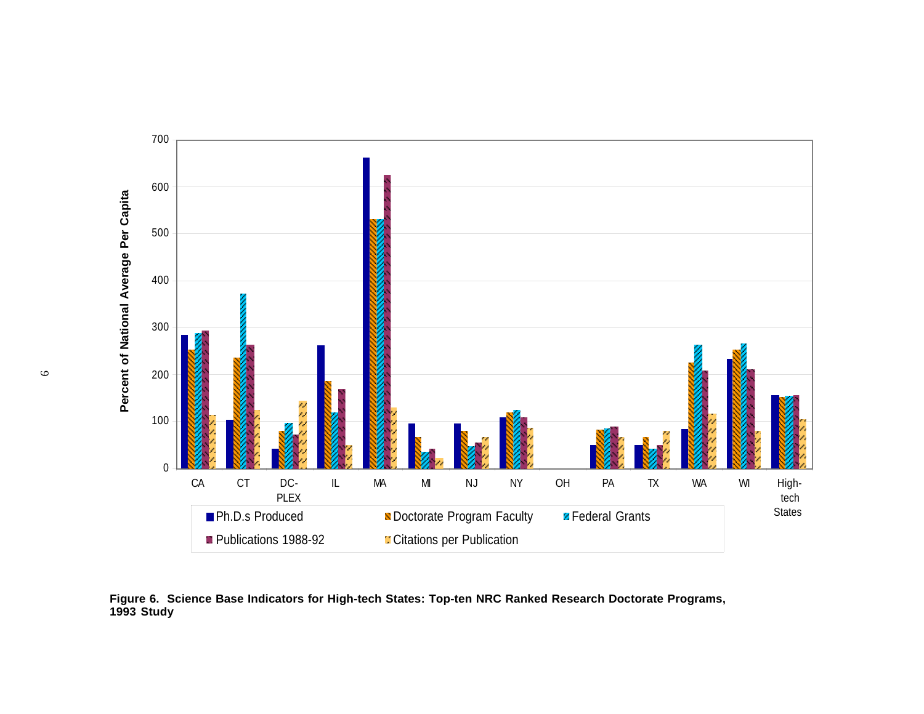

**Figure 6. Science Base Indicators for High-tech States: Top-ten NRC Ranked Research Doctorate Programs, 1993 Study**

 $\circ$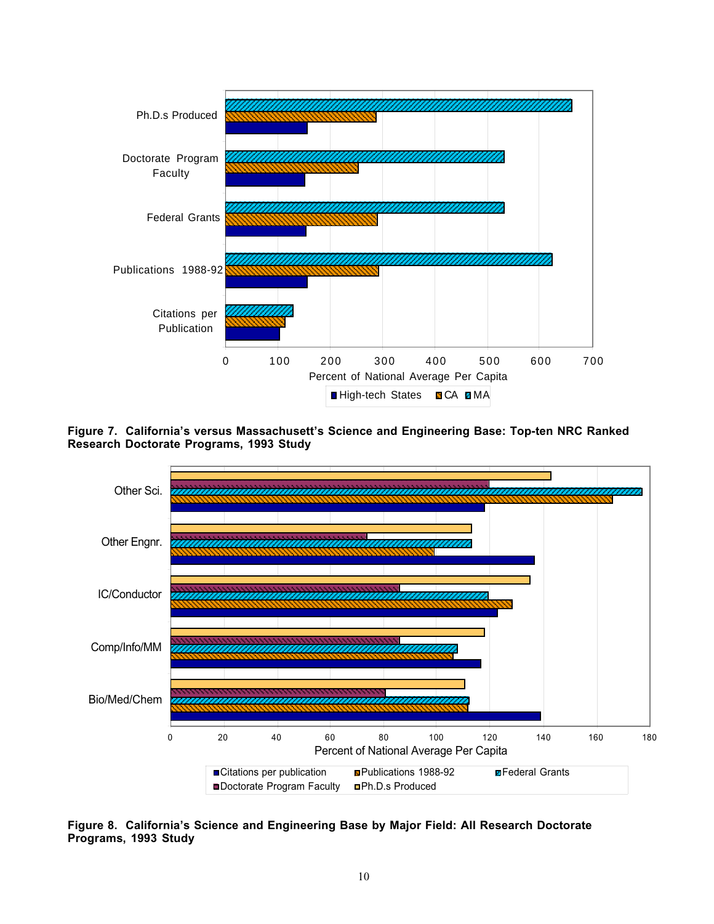

**Figure 7. California's versus Massachusett's Science and Engineering Base: Top-ten NRC Ranked Research Doctorate Programs, 1993 Study**



**Figure 8. California's Science and Engineering Base by Major Field: All Research Doctorate Programs, 1993 Study**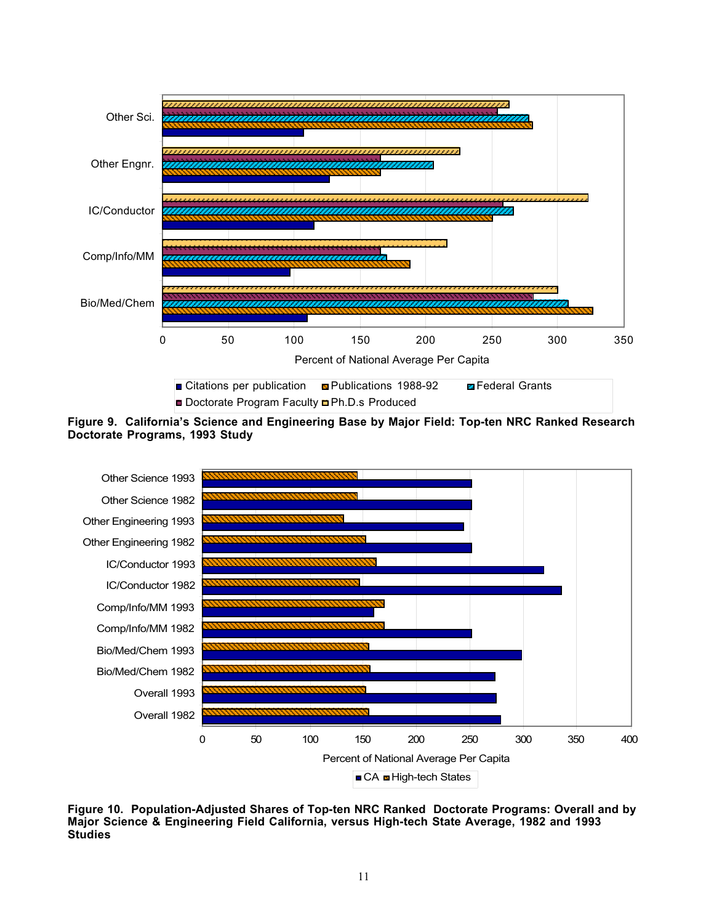

**Figure 9. California's Science and Engineering Base by Major Field: Top-ten NRC Ranked Research Doctorate Programs, 1993 Study**



**Figure 10. Population-Adjusted Shares of Top-ten NRC Ranked Doctorate Programs: Overall and by Major Science & Engineering Field California, versus High-tech State Average, 1982 and 1993 Studies**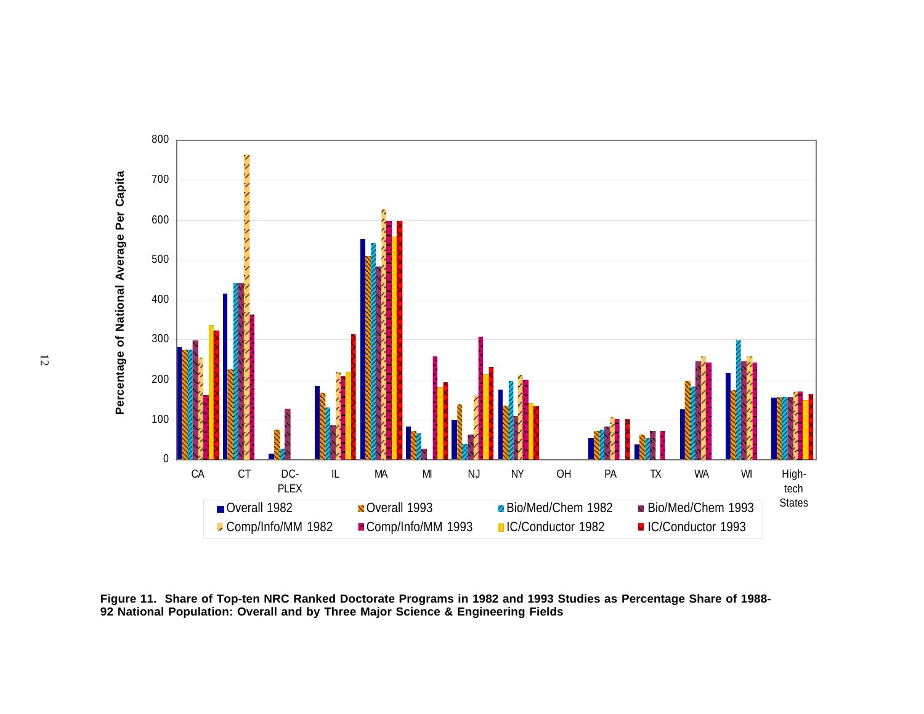

**Figure 11. Share of Top-ten NRC Ranked Doctorate Programs in 1982 and 1993 Studies as Percentage Share of 1988- 92 National Population: Overall and by Three Major Science & Engineering Fields**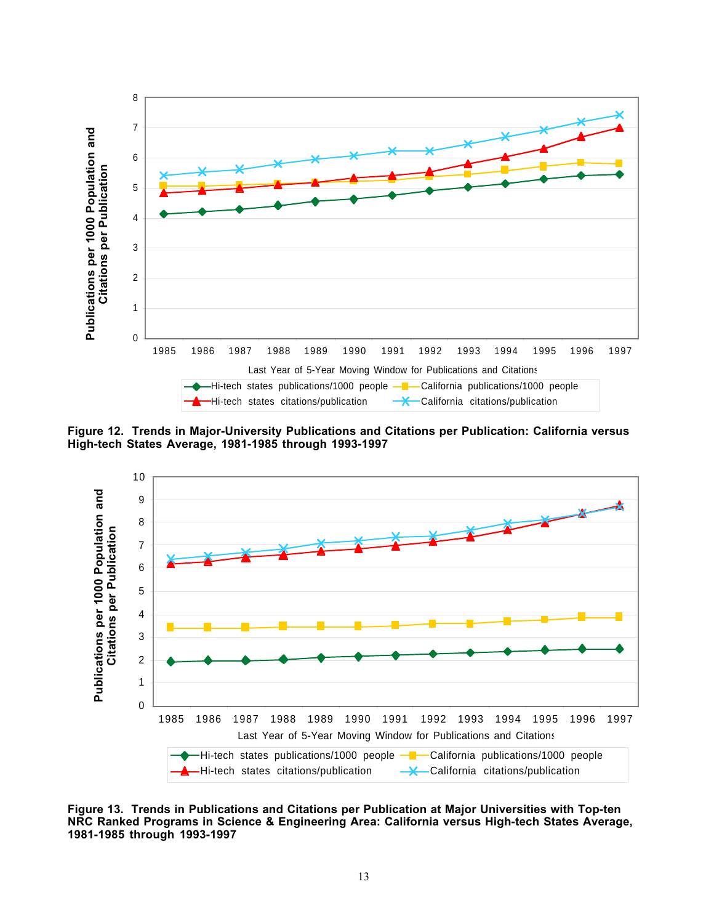

**Figure 12. Trends in Major-University Publications and Citations per Publication: California versus High-tech States Average, 1981-1985 through 1993-1997**



**Figure 13. Trends in Publications and Citations per Publication at Major Universities with Top-ten NRC Ranked Programs in Science & Engineering Area: California versus High-tech States Average, 1981-1985 through 1993-1997**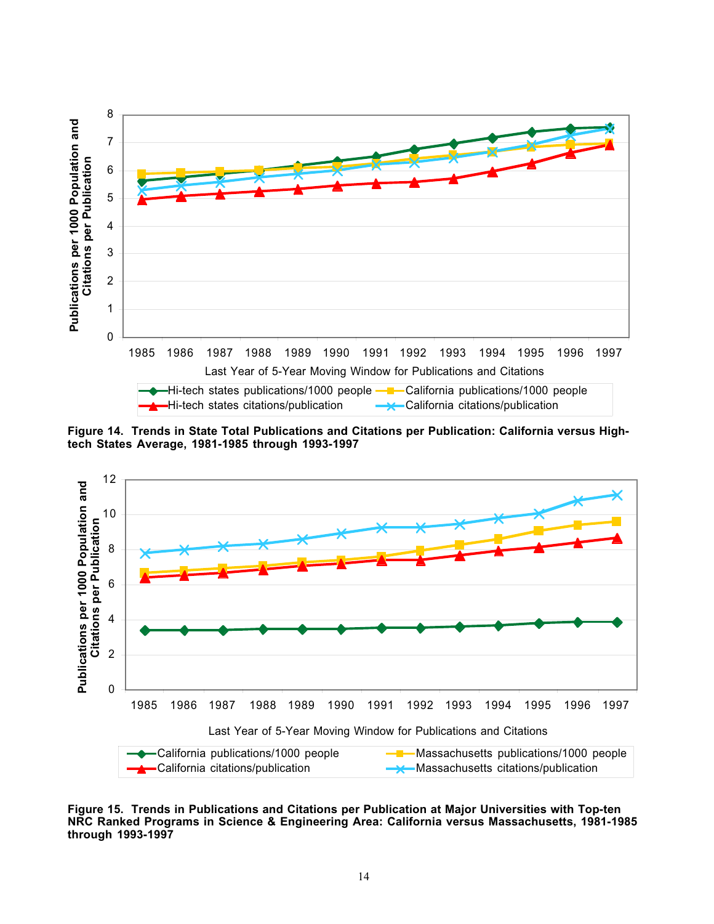

**Figure 14. Trends in State Total Publications and Citations per Publication: California versus Hightech States Average, 1981-1985 through 1993-1997**



**Figure 15. Trends in Publications and Citations per Publication at Major Universities with Top-ten NRC Ranked Programs in Science & Engineering Area: California versus Massachusetts, 1981-1985** through 1993-1997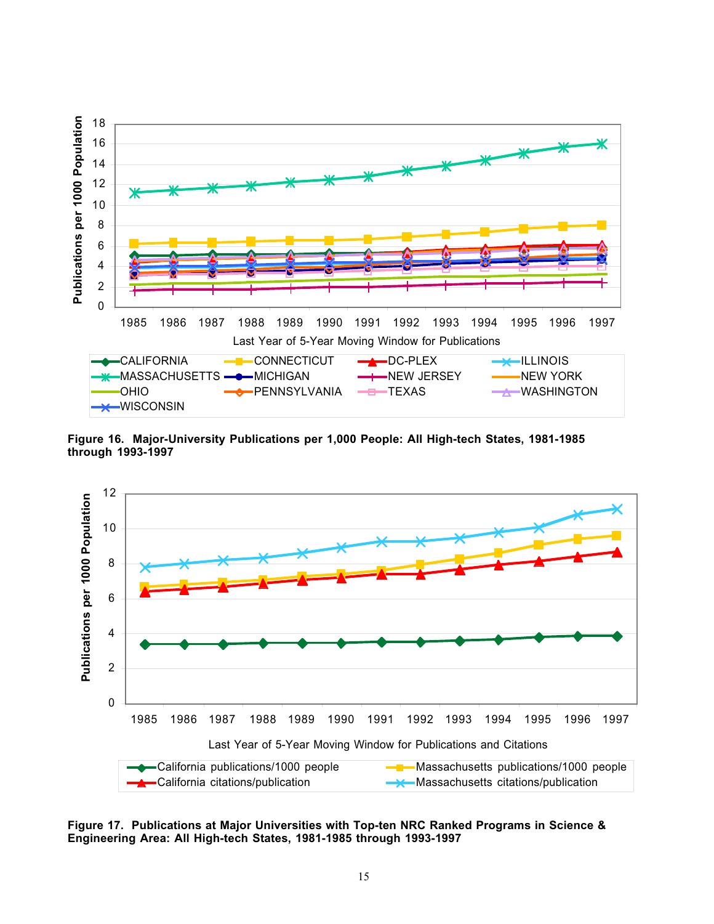

**Figure 16. Major-University Publications per 1,000 People: All High-tech States, 1981-1985 through 1993-1997**



**Figure 17. Publications at Major Universities with Top-ten NRC Ranked Programs in Science &**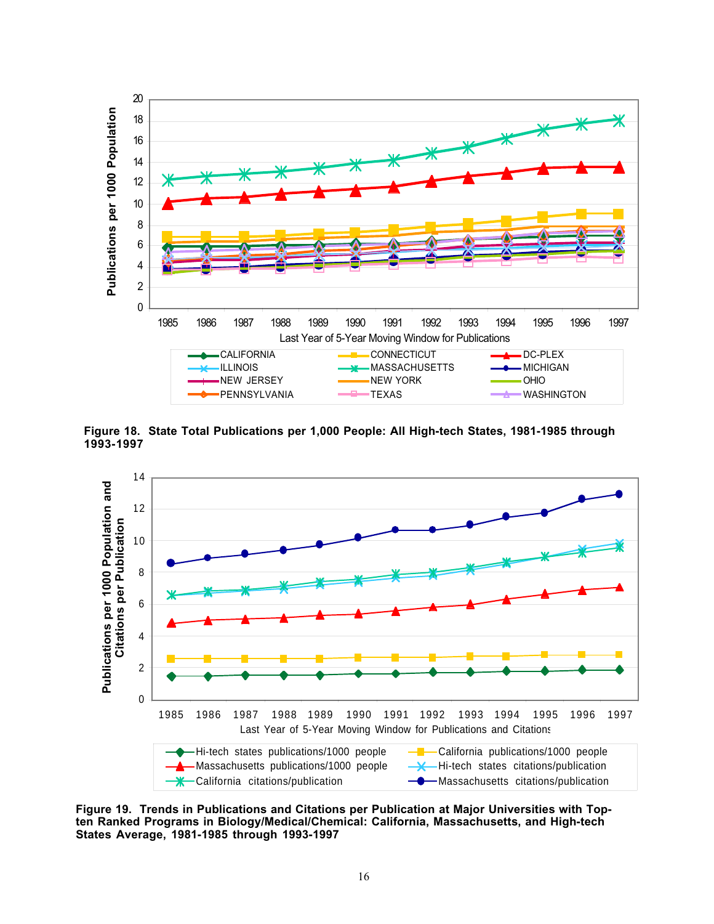

**Figure 18. State Total Publications per 1,000 People: All High-tech States, 1981-1985 through**



**Figure 19. Trends in Publications and Citations per Publication at Major Universities with Topten Ranked Programs in Biology/Medical/Chemical: California, Massachusetts, and High-tech States Average, 1981-1985 through 1993-1997**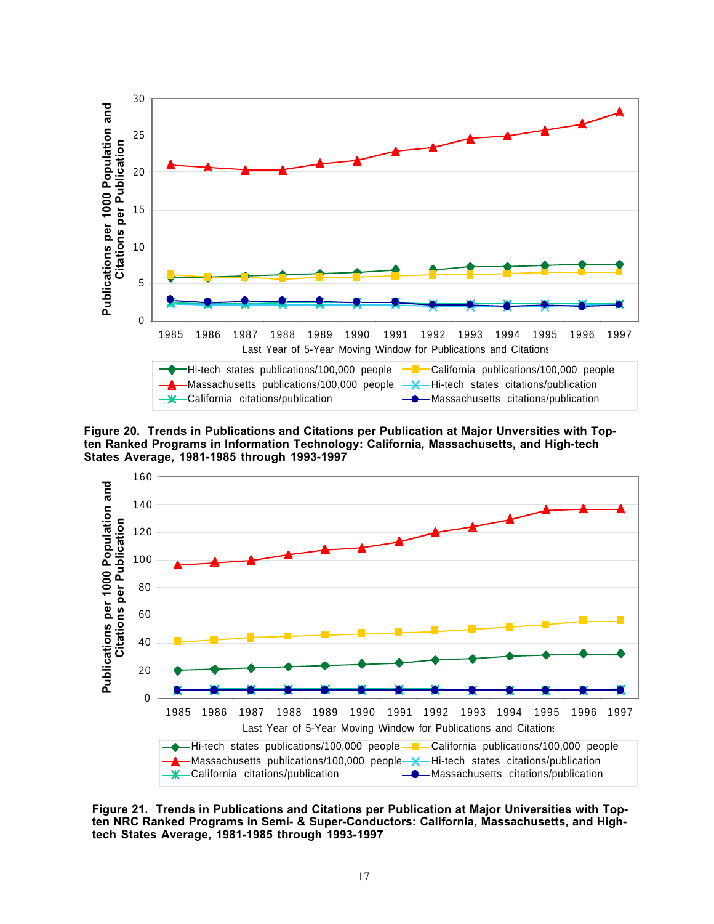

**Figure 20. Trends in Publications and Citations per Publication at Major Unversities with Topten Ranked Programs in Information Technology: California, Massachusetts, and High-tech States Average, 1981-1985 through 1993-1997**



**Figure 21. Trends in Publications and Citations per Publication at Major Universities with Topten NRC Ranked Programs in Semi- & Super-Conductors: California, Massachusetts, and Hightech States Average, 1981-1985 through 1993-1997**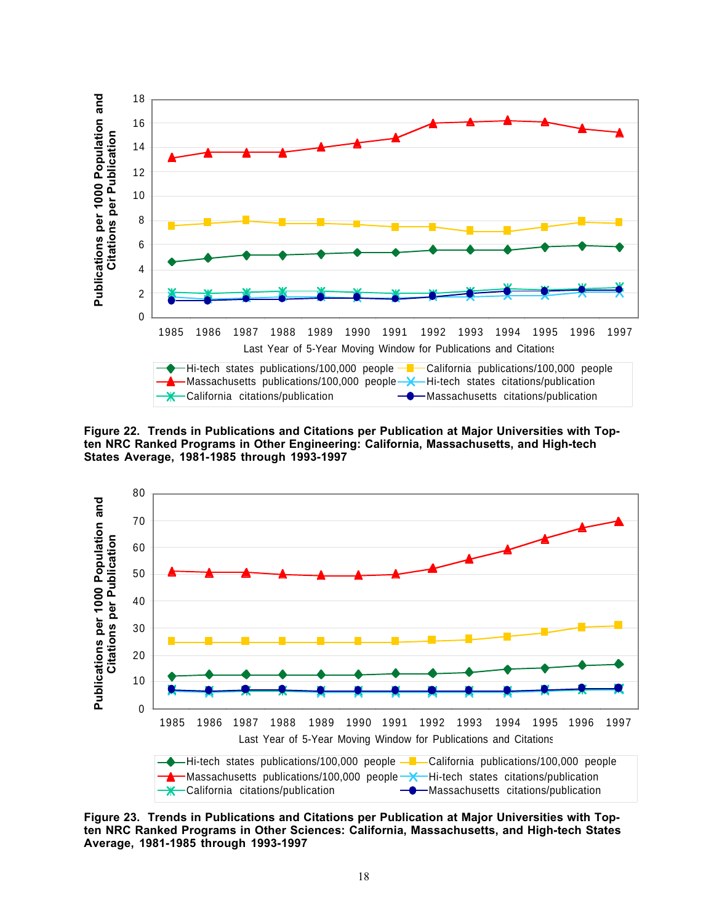

**Figure 22. Trends in Publications and Citations per Publication at Major Universities with Topten NRC Ranked Programs in Other Engineering: California, Massachusetts, and High-tech States Average, 1981-1985 through 1993-1997**



**Figure 23. Trends in Publications and Citations per Publication at Major Universities with Topten NRC Ranked Programs in Other Sciences: California, Massachusetts, and High-tech States Average, 1981-1985 through 1993-1997**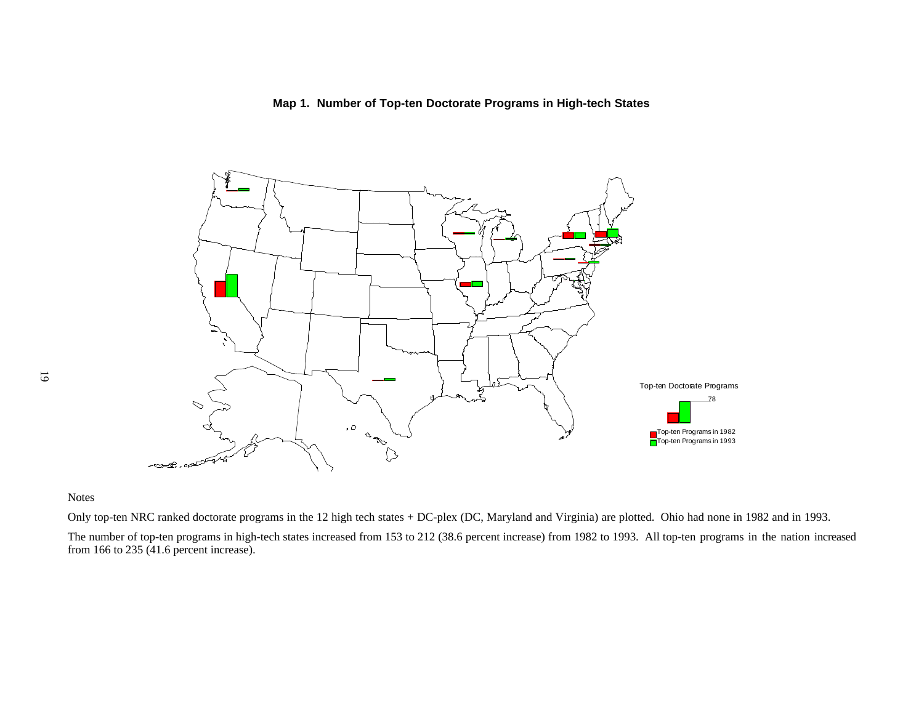# **Map 1. Number of Top-ten Doctorate Programs in High-tech States**



## Notes

Only top-ten NRC ranked doctorate programs in the 12 high tech states + DC-plex (DC, Maryland and Virginia) are plotted. Ohio had none in 1982 and in 1993.

The number of top-ten programs in high-tech states increased from 153 to 212 (38.6 percent increase) from 1982 to 1993. All top-ten programs in the nation increased from 166 to 235 (41.6 percent increase).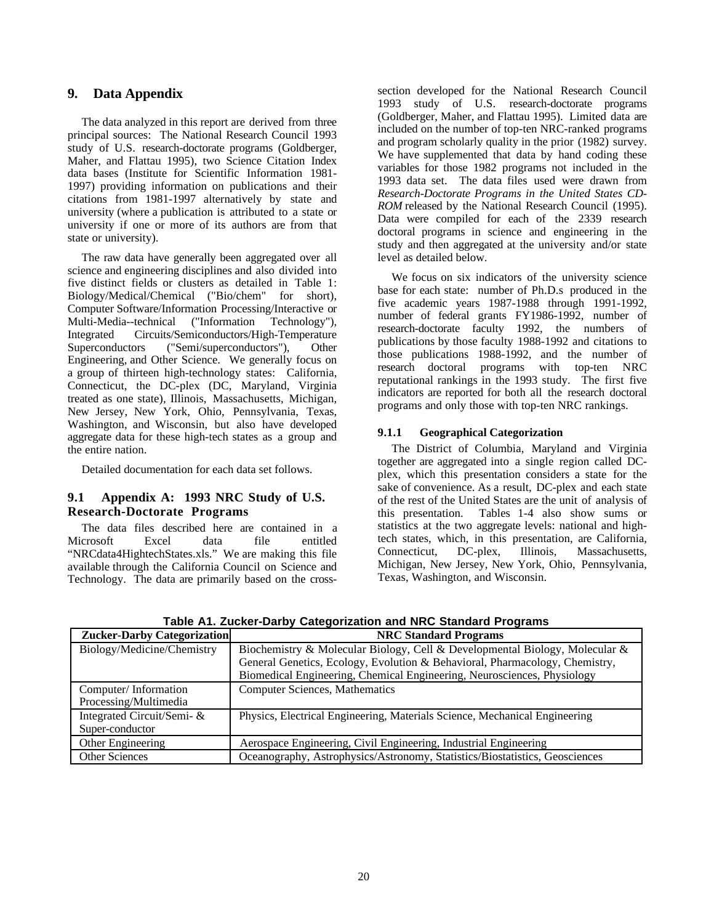# **9. Data Appendix**

The data analyzed in this report are derived from three principal sources: The National Research Council 1993 study of U.S. research-doctorate programs (Goldberger, Maher, and Flattau 1995), two Science Citation Index data bases (Institute for Scientific Information 1981- 1997) providing information on publications and their citations from 1981-1997 alternatively by state and university (where a publication is attributed to a state or university if one or more of its authors are from that state or university).

The raw data have generally been aggregated over all science and engineering disciplines and also divided into five distinct fields or clusters as detailed in Table 1: Biology/Medical/Chemical ("Bio/chem" for short), Computer Software/Information Processing/Interactive or Multi-Media--technical ("Information Technology"). Multi-Media--technical ("Information Technology"), Integrated Circuits/Semiconductors/High-Temperature Superconductors ("Semi/superconductors"), Other Engineering, and Other Science. We generally focus on a group of thirteen high-technology states: California, Connecticut, the DC-plex (DC, Maryland, Virginia treated as one state), Illinois, Massachusetts, Michigan, New Jersey, New York, Ohio, Pennsylvania, Texas, Washington, and Wisconsin, but also have developed aggregate data for these high-tech states as a group and the entire nation.

Detailed documentation for each data set follows.

## **9.1 Appendix A: 1993 NRC Study of U.S. Research-Doctorate Programs**

The data files described here are contained in a Microsoft Excel data file entitled "NRCdata4HightechStates.xls." We are making this file available through the California Council on Science and Technology. The data are primarily based on the crosssection developed for the National Research Council 1993 study of U.S. research-doctorate programs (Goldberger, Maher, and Flattau 1995). Limited data are included on the number of top-ten NRC-ranked programs and program scholarly quality in the prior (1982) survey. We have supplemented that data by hand coding these variables for those 1982 programs not included in the 1993 data set. The data files used were drawn from *Research-Doctorate Programs in the United States CD-ROM* released by the National Research Council (1995). Data were compiled for each of the 2339 research doctoral programs in science and engineering in the study and then aggregated at the university and/or state level as detailed below.

We focus on six indicators of the university science base for each state: number of Ph.D.s produced in the five academic years 1987-1988 through 1991-1992, number of federal grants FY1986-1992, number of research-doctorate faculty 1992, the numbers of publications by those faculty 1988-1992 and citations to those publications 1988-1992, and the number of research doctoral programs with top-ten NRC reputational rankings in the 1993 study. The first five indicators are reported for both all the research doctoral programs and only those with top-ten NRC rankings.

## **9.1.1 Geographical Categorization**

The District of Columbia, Maryland and Virginia together are aggregated into a single region called DCplex, which this presentation considers a state for the sake of convenience. As a result, DC-plex and each state of the rest of the United States are the unit of analysis of this presentation. Tables 1-4 also show sums or statistics at the two aggregate levels: national and hightech states, which, in this presentation, are California, Connecticut, DC-plex, Illinois, Massachusetts, Michigan, New Jersey, New York, Ohio, Pennsylvania, Texas, Washington, and Wisconsin.

| <b>Zucker-Darby Categorization</b> | <b>NRC Standard Programs</b>                                                |
|------------------------------------|-----------------------------------------------------------------------------|
| Biology/Medicine/Chemistry         | Biochemistry & Molecular Biology, Cell & Developmental Biology, Molecular & |
|                                    | General Genetics, Ecology, Evolution & Behavioral, Pharmacology, Chemistry, |
|                                    | Biomedical Engineering, Chemical Engineering, Neurosciences, Physiology     |
| Computer/Information               | <b>Computer Sciences, Mathematics</b>                                       |
| Processing/Multimedia              |                                                                             |
| Integrated Circuit/Semi- &         | Physics, Electrical Engineering, Materials Science, Mechanical Engineering  |
| Super-conductor                    |                                                                             |
| Other Engineering                  | Aerospace Engineering, Civil Engineering, Industrial Engineering            |
| <b>Other Sciences</b>              | Oceanography, Astrophysics/Astronomy, Statistics/Biostatistics, Geosciences |

**Table A1. Zucker-Darby Categorization and NRC Standard Programs**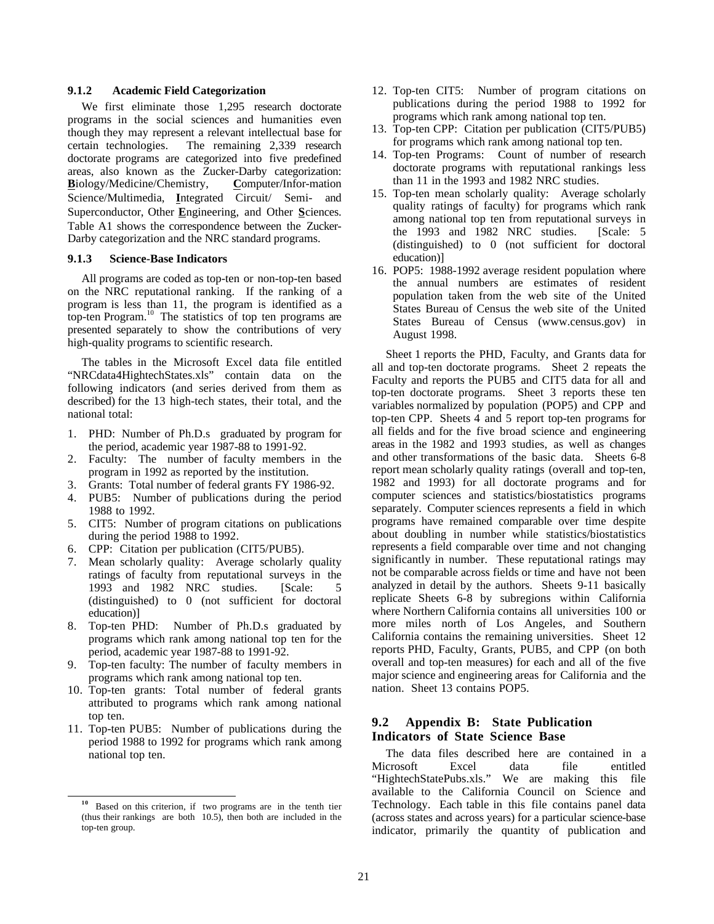#### **9.1.2 Academic Field Categorization**

We first eliminate those 1,295 research doctorate programs in the social sciences and humanities even though they may represent a relevant intellectual base for certain technologies. The remaining 2,339 research doctorate programs are categorized into five predefined areas, also known as the Zucker-Darby categorization: **B**iology/Medicine/Chemistry, **C**omputer/Infor-mation Science/Multimedia, **I**ntegrated Circuit/ Semi- and Superconductor, Other **E**ngineering, and Other **S**ciences. Table A1 shows the correspondence between the Zucker-Darby categorization and the NRC standard programs.

#### **9.1.3 Science-Base Indicators**

All programs are coded as top-ten or non-top-ten based on the NRC reputational ranking. If the ranking of a program is less than 11, the program is identified as a top-ten Program.<sup>10</sup> The statistics of top ten programs are presented separately to show the contributions of very high-quality programs to scientific research.

The tables in the Microsoft Excel data file entitled "NRCdata4HightechStates.xls" contain data on the following indicators (and series derived from them as described) for the 13 high-tech states, their total, and the national total:

- 1. PHD: Number of Ph.D.s graduated by program for the period, academic year 1987-88 to 1991-92.
- 2. Faculty: The number of faculty members in the program in 1992 as reported by the institution.
- 3. Grants: Total number of federal grants FY 1986-92.
- 4. PUB5: Number of publications during the period 1988 to 1992.
- 5. CIT5: Number of program citations on publications during the period 1988 to 1992.
- 6. CPP: Citation per publication (CIT5/PUB5).
- 7. Mean scholarly quality: Average scholarly quality ratings of faculty from reputational surveys in the 1993 and 1982 NRC studies. [Scale: 5 (distinguished) to 0 (not sufficient for doctoral education)]
- 8. Top-ten PHD: Number of Ph.D.s graduated by programs which rank among national top ten for the period, academic year 1987-88 to 1991-92.
- 9. Top-ten faculty: The number of faculty members in programs which rank among national top ten.
- 10. Top-ten grants: Total number of federal grants attributed to programs which rank among national top ten.
- 11. Top-ten PUB5: Number of publications during the period 1988 to 1992 for programs which rank among national top ten.
- 12. Top-ten CIT5: Number of program citations on publications during the period 1988 to 1992 for programs which rank among national top ten.
- 13. Top-ten CPP: Citation per publication (CIT5/PUB5) for programs which rank among national top ten.
- 14. Top-ten Programs: Count of number of research doctorate programs with reputational rankings less than 11 in the 1993 and 1982 NRC studies.
- 15. Top-ten mean scholarly quality: Average scholarly quality ratings of faculty) for programs which rank among national top ten from reputational surveys in the 1993 and 1982 NRC studies. [Scale: 5] (distinguished) to 0 (not sufficient for doctoral education)]
- 16. POP5: 1988-1992 average resident population where the annual numbers are estimates of resident population taken from the web site of the United States Bureau of Census the web site of the United States Bureau of Census (www.census.gov) in August 1998.

Sheet 1 reports the PHD, Faculty, and Grants data for all and top-ten doctorate programs. Sheet 2 repeats the Faculty and reports the PUB5 and CIT5 data for all and top-ten doctorate programs. Sheet 3 reports these ten variables normalized by population (POP5) and CPP and top-ten CPP. Sheets 4 and 5 report top-ten programs for all fields and for the five broad science and engineering areas in the 1982 and 1993 studies, as well as changes and other transformations of the basic data. Sheets 6-8 report mean scholarly quality ratings (overall and top-ten, 1982 and 1993) for all doctorate programs and for computer sciences and statistics/biostatistics programs separately. Computer sciences represents a field in which programs have remained comparable over time despite about doubling in number while statistics/biostatistics represents a field comparable over time and not changing significantly in number. These reputational ratings may not be comparable across fields or time and have not been analyzed in detail by the authors. Sheets 9-11 basically replicate Sheets 6-8 by subregions within California where Northern California contains all universities 100 or more miles north of Los Angeles, and Southern California contains the remaining universities. Sheet 12 reports PHD, Faculty, Grants, PUB5, and CPP (on both overall and top-ten measures) for each and all of the five major science and engineering areas for California and the nation. Sheet 13 contains POP5.

#### **9.2 Appendix B: State Publication Indicators of State Science Base**

The data files described here are contained in a Microsoft Excel data file entitled "HightechStatePubs.xls." We are making this file available to the California Council on Science and Technology. Each table in this file contains panel data (across states and across years) for a particular science-base indicator, primarily the quantity of publication and

**<sup>10</sup>** Based on this criterion, if two programs are in the tenth tier (thus their rankings are both 10.5), then both are included in the top-ten group.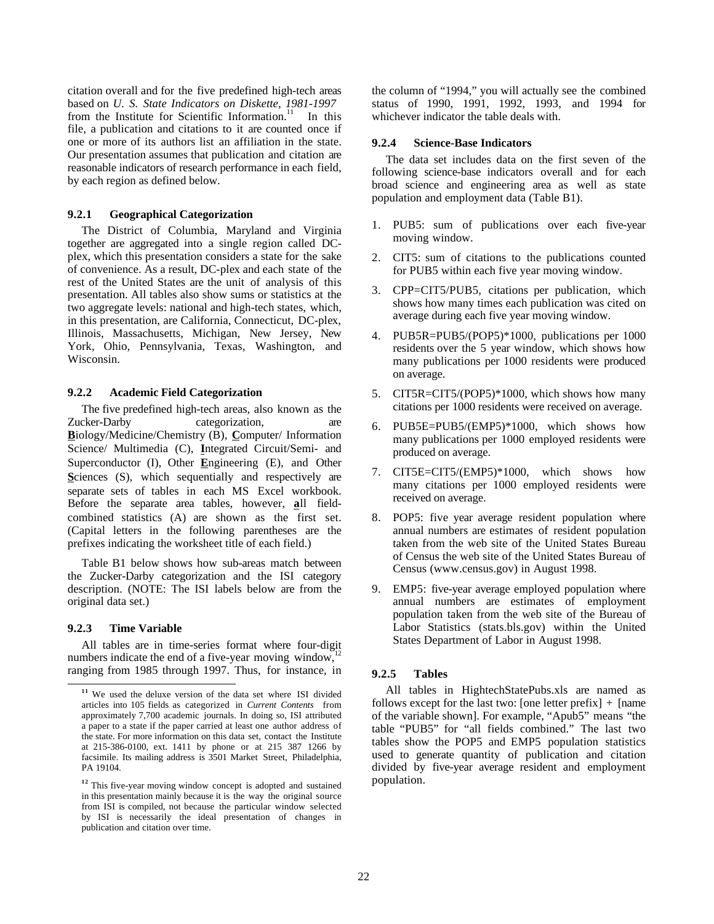citation overall and for the five predefined high-tech areas based on *U. S. State Indicators on Diskette, 1981-1997* from the Institute for Scientific Information.<sup>11</sup> In this file, a publication and citations to it are counted once if one or more of its authors list an affiliation in the state. Our presentation assumes that publication and citation are reasonable indicators of research performance in each field, by each region as defined below.

#### **9.2.1 Geographical Categorization**

The District of Columbia, Maryland and Virginia together are aggregated into a single region called DCplex, which this presentation considers a state for the sake of convenience. As a result, DC-plex and each state of the rest of the United States are the unit of analysis of this presentation. All tables also show sums or statistics at the two aggregate levels: national and high-tech states, which, in this presentation, are California, Connecticut, DC-plex, Illinois, Massachusetts, Michigan, New Jersey, New York, Ohio, Pennsylvania, Texas, Washington, and Wisconsin.

#### **9.2.2 Academic Field Categorization**

The five predefined high-tech areas, also known as the Zucker-Darby categorization, are **B**iology/Medicine/Chemistry (B), **C**omputer/ Information Science/ Multimedia (C), **I**ntegrated Circuit/Semi- and Superconductor (I), Other **E**ngineering (E), and Other Sciences (S), which sequentially and respectively are separate sets of tables in each MS Excel workbook. Before the separate area tables, however, **a**ll fieldcombined statistics (A) are shown as the first set. (Capital letters in the following parentheses are the prefixes indicating the worksheet title of each field.)

Table B1 below shows how sub-areas match between the Zucker-Darby categorization and the ISI category description. (NOTE: The ISI labels below are from the original data set.)

#### **9.2.3 Time Variable**

All tables are in time-series format where four-digit numbers indicate the end of a five-year moving window, $\frac{1}{2}$ ranging from 1985 through 1997. Thus, for instance, in the column of "1994," you will actually see the combined status of 1990, 1991, 1992, 1993, and 1994 for whichever indicator the table deals with.

#### **9.2.4 Science-Base Indicators**

The data set includes data on the first seven of the following science-base indicators overall and for each broad science and engineering area as well as state population and employment data (Table B1).

- 1. PUB5: sum of publications over each five-year moving window.
- 2. CIT5: sum of citations to the publications counted for PUB5 within each five year moving window.
- 3. CPP=CIT5/PUB5, citations per publication, which shows how many times each publication was cited on average during each five year moving window.
- 4. PUB5R=PUB5/(POP5)\*1000, publications per 1000 residents over the 5 year window, which shows how many publications per 1000 residents were produced on average.
- 5. CIT5R=CIT5/(POP5)\*1000, which shows how many citations per 1000 residents were received on average.
- 6. PUB5E=PUB5/(EMP5)\*1000, which shows how many publications per 1000 employed residents were produced on average.
- 7. CIT5E=CIT5/(EMP5)\*1000, which shows how many citations per 1000 employed residents were received on average.
- 8. POP5: five year average resident population where annual numbers are estimates of resident population taken from the web site of the United States Bureau of Census the web site of the United States Bureau of Census (www.census.gov) in August 1998.
- 9. EMP5: five-year average employed population where annual numbers are estimates of employment population taken from the web site of the Bureau of Labor Statistics (stats.bls.gov) within the United States Department of Labor in August 1998.

#### **9.2.5 Tables**

All tables in HightechStatePubs.xls are named as follows except for the last two: [one letter prefix]  $+$  [name of the variable shown]. For example, "Apub5" means "the table "PUB5" for "all fields combined." The last two tables show the POP5 and EMP5 population statistics used to generate quantity of publication and citation divided by five-year average resident and employment population.

**<sup>11</sup>** We used the deluxe version of the data set where ISI divided articles into 105 fields as categorized in *Current Contents*<sup>®</sup> from approximately 7,700 academic journals. In doing so, ISI attributed a paper to a state if the paper carried at least one author address of the state. For more information on this data set, contact the Institute at 215-386-0100, ext. 1411 by phone or at 215 387 1266 by facsimile. Its mailing address is 3501 Market Street, Philadelphia, PA 19104.

**<sup>12</sup>** This five-year moving window concept is adopted and sustained in this presentation mainly because it is the way the original source from ISI is compiled, not because the particular window selected by ISI is necessarily the ideal presentation of changes in publication and citation over time.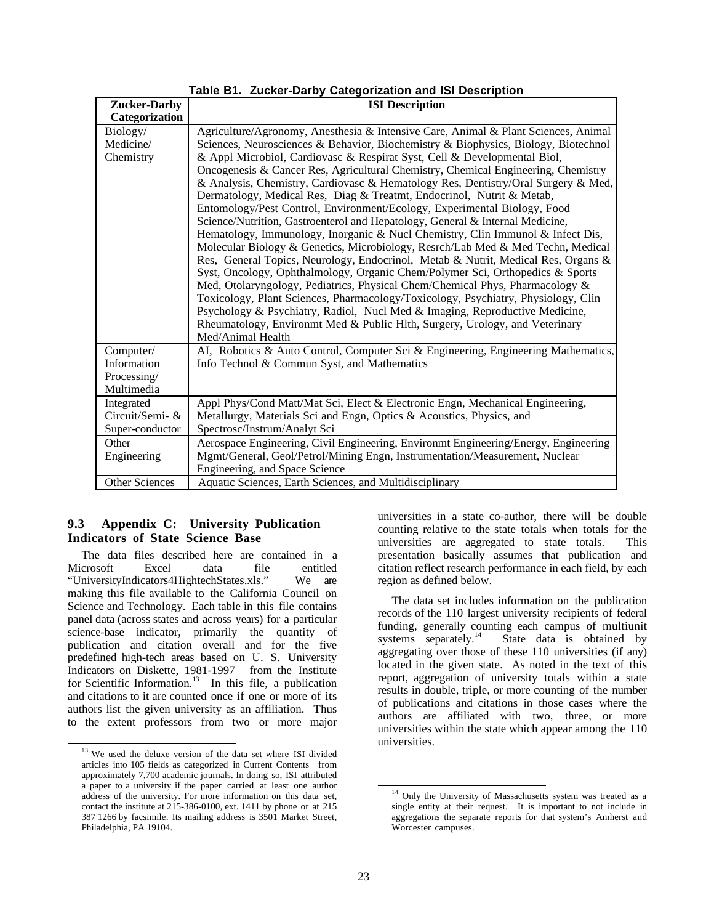| <b>Zucker-Darby</b> | <b>ISI</b> Description                                                              |
|---------------------|-------------------------------------------------------------------------------------|
| Categorization      |                                                                                     |
| Biology/            | Agriculture/Agronomy, Anesthesia & Intensive Care, Animal & Plant Sciences, Animal  |
| Medicine/           | Sciences, Neurosciences & Behavior, Biochemistry & Biophysics, Biology, Biotechnol  |
| Chemistry           | & Appl Microbiol, Cardiovasc & Respirat Syst, Cell & Developmental Biol,            |
|                     | Oncogenesis & Cancer Res, Agricultural Chemistry, Chemical Engineering, Chemistry   |
|                     | & Analysis, Chemistry, Cardiovasc & Hematology Res, Dentistry/Oral Surgery & Med,   |
|                     | Dermatology, Medical Res, Diag & Treatmt, Endocrinol, Nutrit & Metab,               |
|                     | Entomology/Pest Control, Environment/Ecology, Experimental Biology, Food            |
|                     | Science/Nutrition, Gastroenterol and Hepatology, General & Internal Medicine,       |
|                     | Hematology, Immunology, Inorganic & Nucl Chemistry, Clin Immunol & Infect Dis,      |
|                     | Molecular Biology & Genetics, Microbiology, Resrch/Lab Med & Med Techn, Medical     |
|                     | Res, General Topics, Neurology, Endocrinol, Metab & Nutrit, Medical Res, Organs &   |
|                     | Syst, Oncology, Ophthalmology, Organic Chem/Polymer Sci, Orthopedics & Sports       |
|                     | Med, Otolaryngology, Pediatrics, Physical Chem/Chemical Phys, Pharmacology &        |
|                     | Toxicology, Plant Sciences, Pharmacology/Toxicology, Psychiatry, Physiology, Clin   |
|                     | Psychology & Psychiatry, Radiol, Nucl Med & Imaging, Reproductive Medicine,         |
|                     | Rheumatology, Environmt Med & Public Hlth, Surgery, Urology, and Veterinary         |
|                     | Med/Animal Health                                                                   |
| Computer/           | AI, Robotics & Auto Control, Computer Sci & Engineering, Engineering Mathematics,   |
| Information         | Info Technol & Commun Syst, and Mathematics                                         |
| Processing/         |                                                                                     |
| Multimedia          |                                                                                     |
| Integrated          | Appl Phys/Cond Matt/Mat Sci, Elect & Electronic Engn, Mechanical Engineering,       |
| Circuit/Semi- &     | Metallurgy, Materials Sci and Engn, Optics & Acoustics, Physics, and                |
| Super-conductor     | Spectrosc/Instrum/Analyt Sci                                                        |
| Other               | Aerospace Engineering, Civil Engineering, Environmt Engineering/Energy, Engineering |
| Engineering         | Mgmt/General, Geol/Petrol/Mining Engn, Instrumentation/Measurement, Nuclear         |
|                     | Engineering, and Space Science                                                      |
| Other Sciences      | Aquatic Sciences, Earth Sciences, and Multidisciplinary                             |

## **Table B1. Zucker-Darby Categorization and ISI Description**

## **9.3 Appendix C: University Publication Indicators of State Science Base**

The data files described here are contained in a Microsoft Excel data file entitled "UniversityIndicators4HightechStates.xls." We are making this file available to the California Council on Science and Technology. Each table in this file contains panel data (across states and across years) for a particular science-base indicator, primarily the quantity of publication and citation overall and for the five predefined high-tech areas based on U. S. University Indicators on Diskette, 1981-1997© from the Institute for Scientific Information.<sup>13</sup> In this file, a publication and citations to it are counted once if one or more of its authors list the given university as an affiliation. Thus to the extent professors from two or more major

universities in a state co-author, there will be double counting relative to the state totals when totals for the universities are aggregated to state totals. This presentation basically assumes that publication and citation reflect research performance in each field, by each region as defined below.

The data set includes information on the publication records of the 110 largest university recipients of federal funding, generally counting each campus of multiunit systems separately. $14$  State data is obtained by aggregating over those of these 110 universities (if any) located in the given state. As noted in the text of this report, aggregation of university totals within a state results in double, triple, or more counting of the number of publications and citations in those cases where the authors are affiliated with two, three, or more universities within the state which appear among the 110 universities.

<sup>&</sup>lt;sup>13</sup> We used the deluxe version of the data set where ISI divided articles into 105 fields as categorized in Current Contents<sup>®</sup> from approximately 7,700 academic journals. In doing so, ISI attributed a paper to a university if the paper carried at least one author address of the university. For more information on this data set, contact the institute at 215-386-0100, ext. 1411 by phone or at 215 387 1266 by facsimile. Its mailing address is 3501 Market Street, Philadelphia, PA 19104.

<sup>&</sup>lt;sup>14</sup> Only the University of Massachusetts system was treated as a single entity at their request. It is important to not include in aggregations the separate reports for that system's Amherst and Worcester campuses.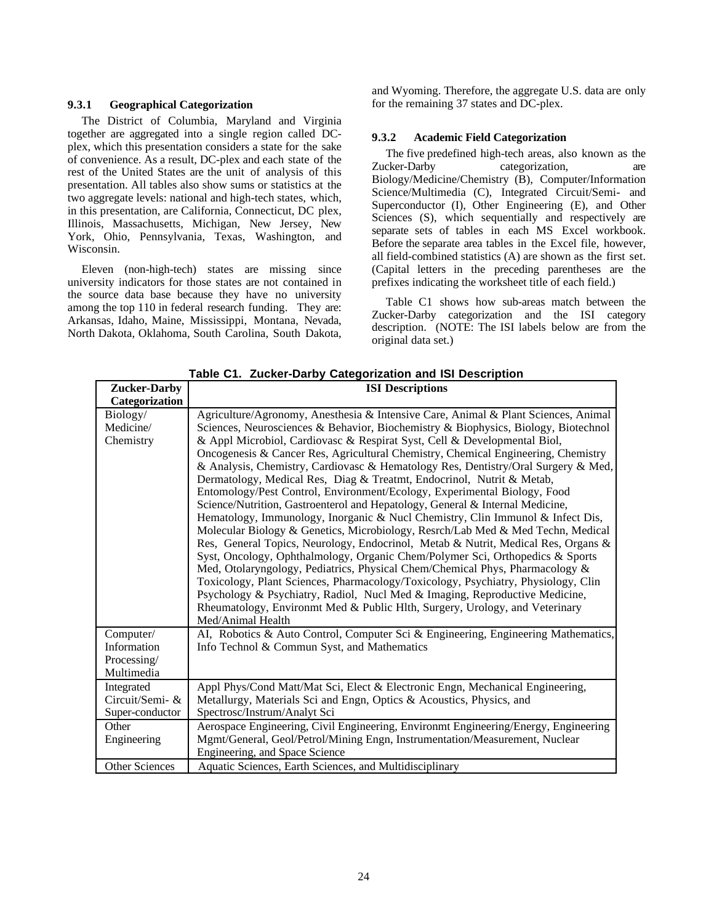#### **9.3.1 Geographical Categorization**

The District of Columbia, Maryland and Virginia together are aggregated into a single region called DCplex, which this presentation considers a state for the sake of convenience. As a result, DC-plex and each state of the rest of the United States are the unit of analysis of this presentation. All tables also show sums or statistics at the two aggregate levels: national and high-tech states, which, in this presentation, are California, Connecticut, DC plex, Illinois, Massachusetts, Michigan, New Jersey, New York, Ohio, Pennsylvania, Texas, Washington, and Wisconsin.

Eleven (non-high-tech) states are missing since university indicators for those states are not contained in the source data base because they have no university among the top 110 in federal research funding. They are: Arkansas, Idaho, Maine, Mississippi, Montana, Nevada, North Dakota, Oklahoma, South Carolina, South Dakota, and Wyoming. Therefore, the aggregate U.S. data are only for the remaining 37 states and DC-plex.

#### **9.3.2 Academic Field Categorization**

The five predefined high-tech areas, also known as the Zucker-Darby categorization, are Biology/Medicine/Chemistry (B), Computer/Information Science/Multimedia (C), Integrated Circuit/Semi- and Superconductor (I), Other Engineering (E), and Other Sciences (S), which sequentially and respectively are separate sets of tables in each MS Excel workbook. Before the separate area tables in the Excel file, however, all field-combined statistics (A) are shown as the first set. (Capital letters in the preceding parentheses are the prefixes indicating the worksheet title of each field.)

Table C1 shows how sub-areas match between the Zucker-Darby categorization and the ISI category description. (NOTE: The ISI labels below are from the original data set.)

| <b>Zucker-Darby</b>       | <b>ISI</b> Descriptions                                                                          |
|---------------------------|--------------------------------------------------------------------------------------------------|
| Categorization            |                                                                                                  |
| Biology/                  | Agriculture/Agronomy, Anesthesia & Intensive Care, Animal & Plant Sciences, Animal               |
| Medicine/                 | Sciences, Neurosciences & Behavior, Biochemistry & Biophysics, Biology, Biotechnol               |
| Chemistry                 | & Appl Microbiol, Cardiovasc & Respirat Syst, Cell & Developmental Biol,                         |
|                           | Oncogenesis & Cancer Res, Agricultural Chemistry, Chemical Engineering, Chemistry                |
|                           | & Analysis, Chemistry, Cardiovasc & Hematology Res, Dentistry/Oral Surgery & Med,                |
|                           | Dermatology, Medical Res, Diag & Treatmt, Endocrinol, Nutrit & Metab,                            |
|                           | Entomology/Pest Control, Environment/Ecology, Experimental Biology, Food                         |
|                           | Science/Nutrition, Gastroenterol and Hepatology, General & Internal Medicine,                    |
|                           | Hematology, Immunology, Inorganic & Nucl Chemistry, Clin Immunol & Infect Dis,                   |
|                           | Molecular Biology & Genetics, Microbiology, Resrch/Lab Med & Med Techn, Medical                  |
|                           | Res, General Topics, Neurology, Endocrinol, Metab & Nutrit, Medical Res, Organs &                |
|                           | Syst, Oncology, Ophthalmology, Organic Chem/Polymer Sci, Orthopedics & Sports                    |
|                           | Med, Otolaryngology, Pediatrics, Physical Chem/Chemical Phys, Pharmacology &                     |
|                           | Toxicology, Plant Sciences, Pharmacology/Toxicology, Psychiatry, Physiology, Clin                |
|                           | Psychology & Psychiatry, Radiol, Nucl Med & Imaging, Reproductive Medicine,                      |
|                           | Rheumatology, Environmt Med & Public Hlth, Surgery, Urology, and Veterinary<br>Med/Animal Health |
|                           |                                                                                                  |
| Computer/<br>Information  | AI, Robotics & Auto Control, Computer Sci & Engineering, Engineering Mathematics,                |
|                           | Info Technol & Commun Syst, and Mathematics                                                      |
| Processing/<br>Multimedia |                                                                                                  |
| Integrated                | Appl Phys/Cond Matt/Mat Sci, Elect & Electronic Engn, Mechanical Engineering,                    |
| Circuit/Semi- &           | Metallurgy, Materials Sci and Engn, Optics & Acoustics, Physics, and                             |
| Super-conductor           | Spectrosc/Instrum/Analyt Sci                                                                     |
| Other                     | Aerospace Engineering, Civil Engineering, Environmt Engineering/Energy, Engineering              |
| Engineering               | Mgmt/General, Geol/Petrol/Mining Engn, Instrumentation/Measurement, Nuclear                      |
|                           | Engineering, and Space Science                                                                   |
| <b>Other Sciences</b>     | Aquatic Sciences, Earth Sciences, and Multidisciplinary                                          |
|                           |                                                                                                  |

**Table C1. Zucker-Darby Categorization and ISI Description**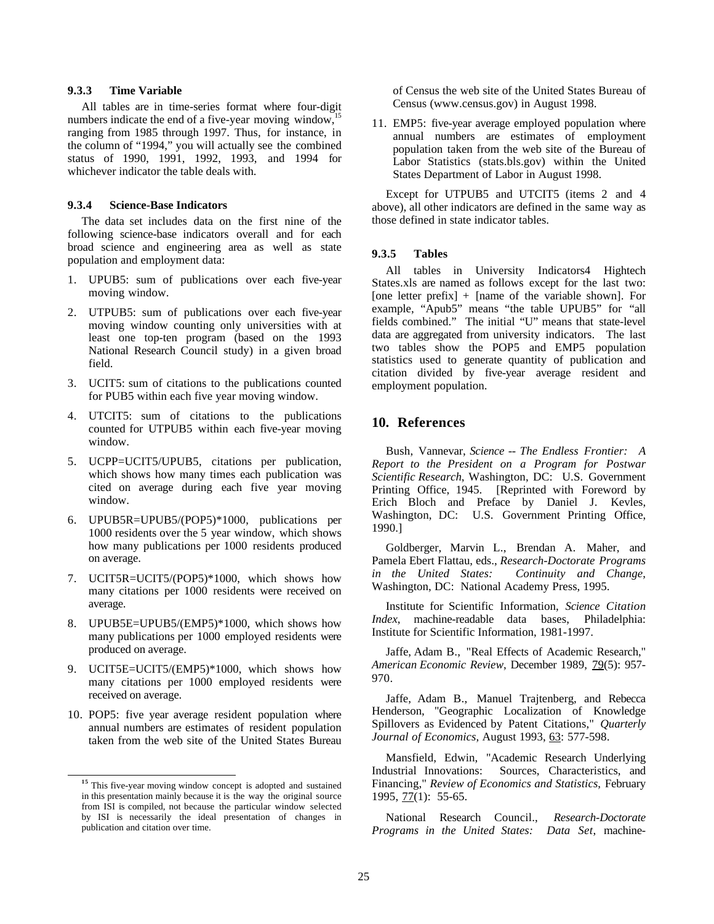### **9.3.3 Time Variable**

All tables are in time-series format where four-digit numbers indicate the end of a five-year moving window, $\frac{1}{2}$ ranging from 1985 through 1997. Thus, for instance, in the column of "1994," you will actually see the combined status of 1990, 1991, 1992, 1993, and 1994 for whichever indicator the table deals with.

## **9.3.4 Science-Base Indicators**

The data set includes data on the first nine of the following science-base indicators overall and for each broad science and engineering area as well as state population and employment data:

- 1. UPUB5: sum of publications over each five-year moving window.
- 2. UTPUB5: sum of publications over each five-year moving window counting only universities with at least one top-ten program (based on the 1993 National Research Council study) in a given broad field.
- 3. UCIT5: sum of citations to the publications counted for PUB5 within each five year moving window.
- 4. UTCIT5: sum of citations to the publications counted for UTPUB5 within each five-year moving window.
- 5. UCPP=UCIT5/UPUB5, citations per publication, which shows how many times each publication was cited on average during each five year moving window.
- 6. UPUB5R=UPUB5/(POP5)\*1000, publications per 1000 residents over the 5 year window, which shows how many publications per 1000 residents produced on average.
- 7. UCIT5R=UCIT5/(POP5)\*1000, which shows how many citations per 1000 residents were received on average.
- 8. UPUB5E=UPUB5/(EMP5)\*1000, which shows how many publications per 1000 employed residents were produced on average.
- 9. UCIT5E=UCIT5/(EMP5)\*1000, which shows how many citations per 1000 employed residents were received on average.
- 10. POP5: five year average resident population where annual numbers are estimates of resident population taken from the web site of the United States Bureau

of Census the web site of the United States Bureau of Census (www.census.gov) in August 1998.

11. EMP5: five-year average employed population where annual numbers are estimates of employment population taken from the web site of the Bureau of Labor Statistics (stats.bls.gov) within the United States Department of Labor in August 1998.

Except for UTPUB5 and UTCIT5 (items 2 and 4 above), all other indicators are defined in the same way as those defined in state indicator tables.

#### **9.3.5 Tables**

All tables in University Indicators4 Hightech States.xls are named as follows except for the last two: [one letter prefix]  $+$  [name of the variable shown]. For example, "Apub5" means "the table UPUB5" for "all fields combined." The initial "U" means that state-level data are aggregated from university indicators. The last two tables show the POP5 and EMP5 population statistics used to generate quantity of publication and citation divided by five-year average resident and employment population.

# **10. References**

Bush, Vannevar, *Science -- The Endless Frontier: A Report to the President on a Program for Postwar Scientific Research*, Washington, DC: U.S. Government Printing Office, 1945. [Reprinted with Foreword by Erich Bloch and Preface by Daniel J. Kevles, Washington, DC: U.S. Government Printing Office, 1990.]

Goldberger, Marvin L., Brendan A. Maher, and Pamela Ebert Flattau, eds., *Research-Doctorate Programs in the United States: Continuity and Change*, Washington, DC: National Academy Press, 1995.

Institute for Scientific Information, *Science Citation Index*, machine-readable data bases, Philadelphia: Institute for Scientific Information, 1981-1997.

Jaffe, Adam B., "Real Effects of Academic Research," American Economic Review, December 1989, 79(5): 957-970.

Jaffe, Adam B., Manuel Trajtenberg, and Rebecca Henderson, "Geographic Localization of Knowledge Spillovers as Evidenced by Patent Citations," *Quarterly* Journal of Economics, August 1993, 63: 577-598.

Mansfield, Edwin, "Academic Research Underlying Industrial Innovations: Sources, Characteristics, and Financing," *Review of Economics and Statistics*, February  $1995, 77(1): 55-65.$ 

National Research Council., *Research-Doctorate Programs in the United States: Data Set*, machine-

**<sup>15</sup>** This five-year moving window concept is adopted and sustained in this presentation mainly because it is the way the original source from ISI is compiled, not because the particular window selected by ISI is necessarily the ideal presentation of changes in publication and citation over time.